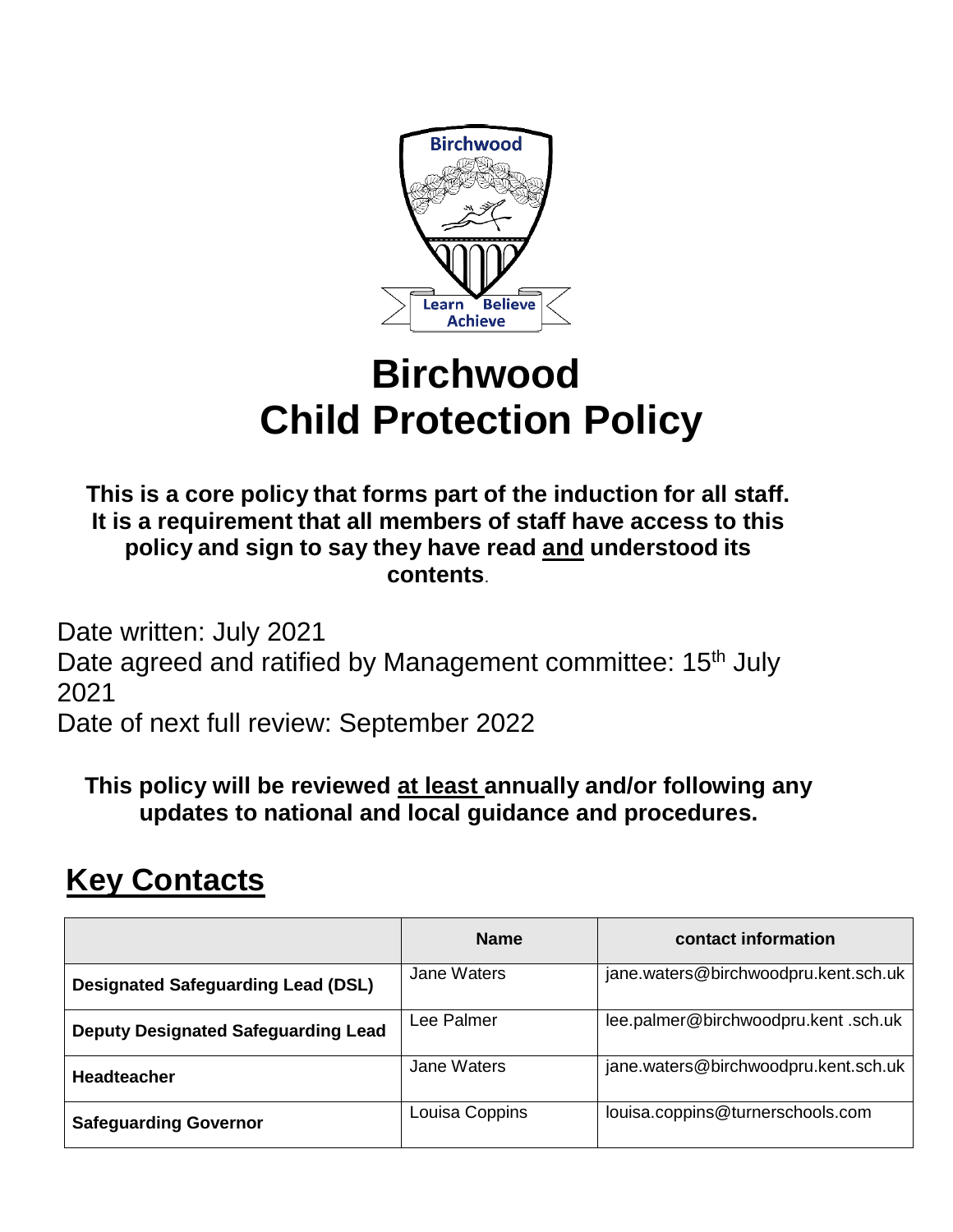

# **Birchwood Child Protection Policy**

**This is a core policy that forms part of the induction for all staff. It is a requirement that all members of staff have access to this policy and sign to say they have read and understood its contents**.

Date written: July 2021 Date agreed and ratified by Management committee: 15<sup>th</sup> July 2021 Date of next full review: September 2022

**This policy will be reviewed at least annually and/or following any updates to national and local guidance and procedures.** 

# **Key Contacts**

|                                            | <b>Name</b>    | contact information                  |
|--------------------------------------------|----------------|--------------------------------------|
| <b>Designated Safeguarding Lead (DSL)</b>  | Jane Waters    | jane.waters@birchwoodpru.kent.sch.uk |
| <b>Deputy Designated Safeguarding Lead</b> | Lee Palmer     | lee.palmer@birchwoodpru.kent.sch.uk  |
| <b>Headteacher</b>                         | Jane Waters    | jane.waters@birchwoodpru.kent.sch.uk |
| <b>Safeguarding Governor</b>               | Louisa Coppins | louisa.coppins@turnerschools.com     |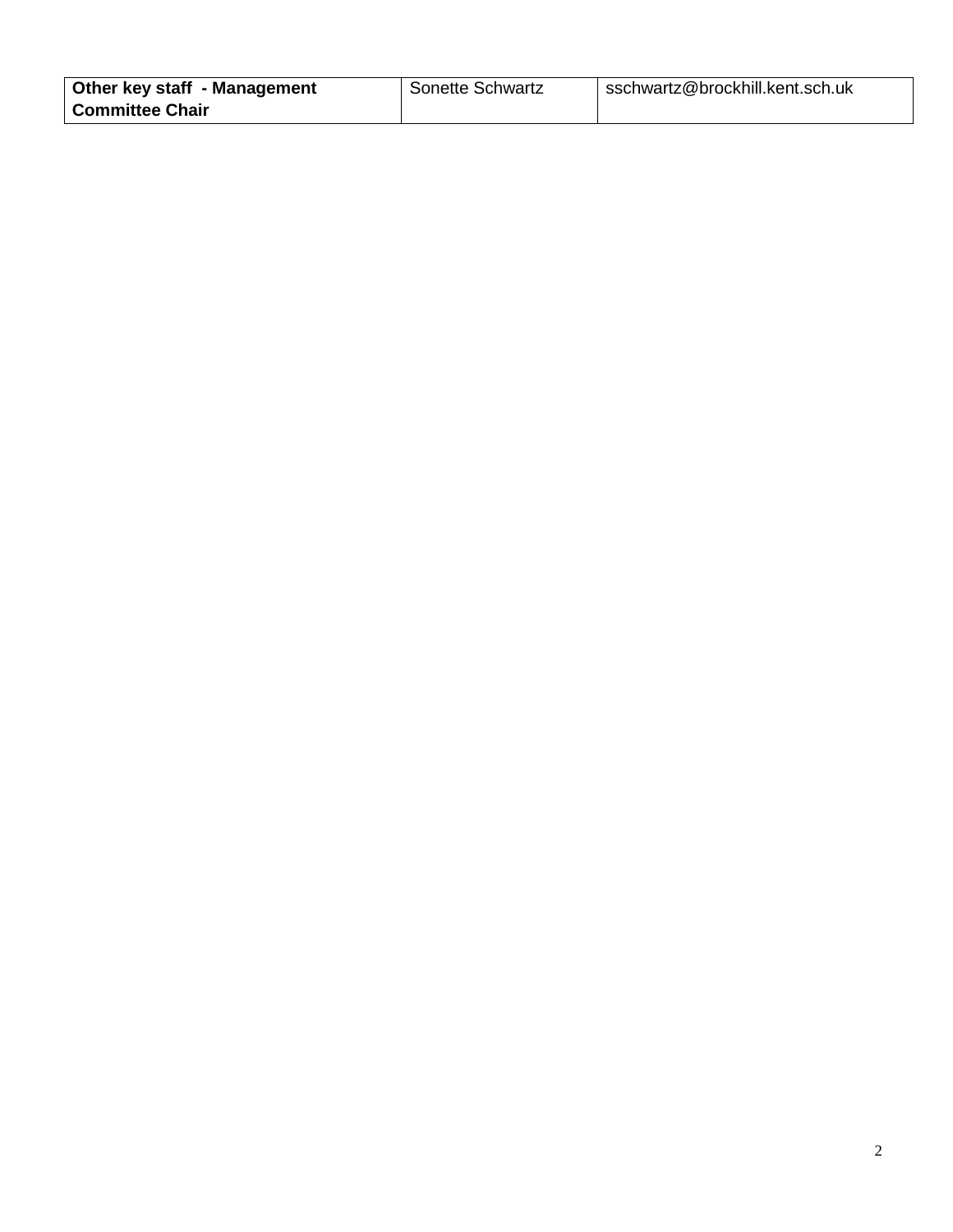| Other key staff - Management | <b>Sonette Schwartz</b> | sschwartz@brockhill.kent.sch.uk |
|------------------------------|-------------------------|---------------------------------|
| <b>Committee Chair</b>       |                         |                                 |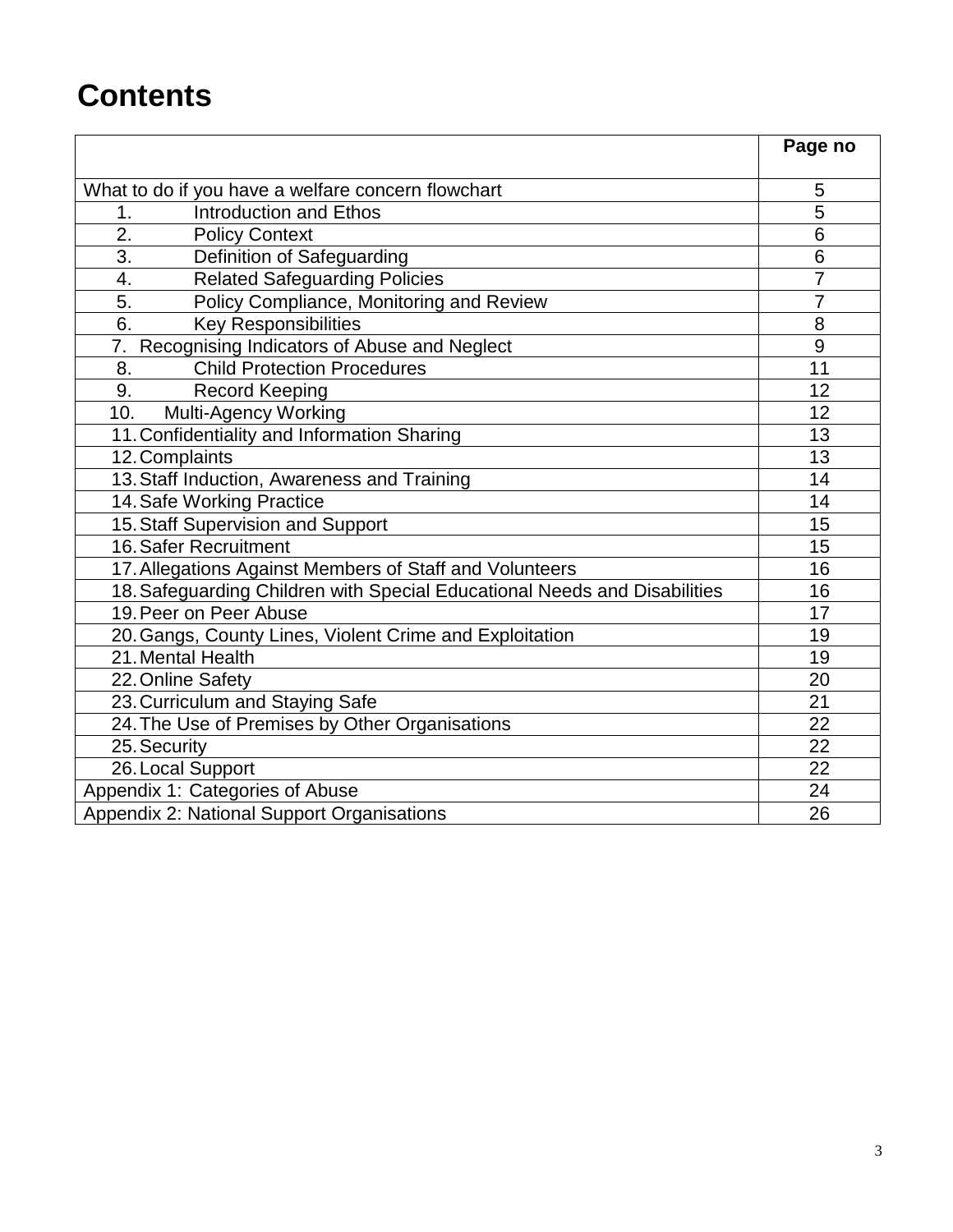# **Contents**

|                                                                           | Page no        |
|---------------------------------------------------------------------------|----------------|
|                                                                           |                |
| What to do if you have a welfare concern flowchart                        | 5              |
| <b>Introduction and Ethos</b><br>1.                                       | 5              |
| $\overline{2}$ .<br><b>Policy Context</b>                                 | 6              |
| $\overline{3}$ .<br>Definition of Safeguarding                            | 6              |
| <b>Related Safeguarding Policies</b><br>4.                                | 7              |
| 5.<br>Policy Compliance, Monitoring and Review                            | $\overline{7}$ |
| 6.<br><b>Key Responsibilities</b>                                         | 8              |
| 7. Recognising Indicators of Abuse and Neglect                            | 9              |
| <b>Child Protection Procedures</b><br>8.                                  | 11             |
| <b>Record Keeping</b><br>9.                                               | 12             |
| Multi-Agency Working<br>10.                                               | 12             |
| 11. Confidentiality and Information Sharing                               | 13             |
| 12. Complaints                                                            | 13             |
| 13. Staff Induction, Awareness and Training                               | 14             |
| 14. Safe Working Practice                                                 | 14             |
| 15. Staff Supervision and Support                                         | 15             |
| 16. Safer Recruitment                                                     | 15             |
| 17. Allegations Against Members of Staff and Volunteers                   | 16             |
| 18. Safeguarding Children with Special Educational Needs and Disabilities | 16             |
| 19. Peer on Peer Abuse                                                    | 17             |
| 20. Gangs, County Lines, Violent Crime and Exploitation                   | 19             |
| 21. Mental Health                                                         | 19             |
| 22. Online Safety                                                         | 20             |
| 23. Curriculum and Staying Safe                                           | 21             |
| 24. The Use of Premises by Other Organisations                            | 22             |
| 25. Security                                                              | 22             |
| 26. Local Support                                                         | 22             |
| Appendix 1: Categories of Abuse                                           | 24             |
| Appendix 2: National Support Organisations                                | 26             |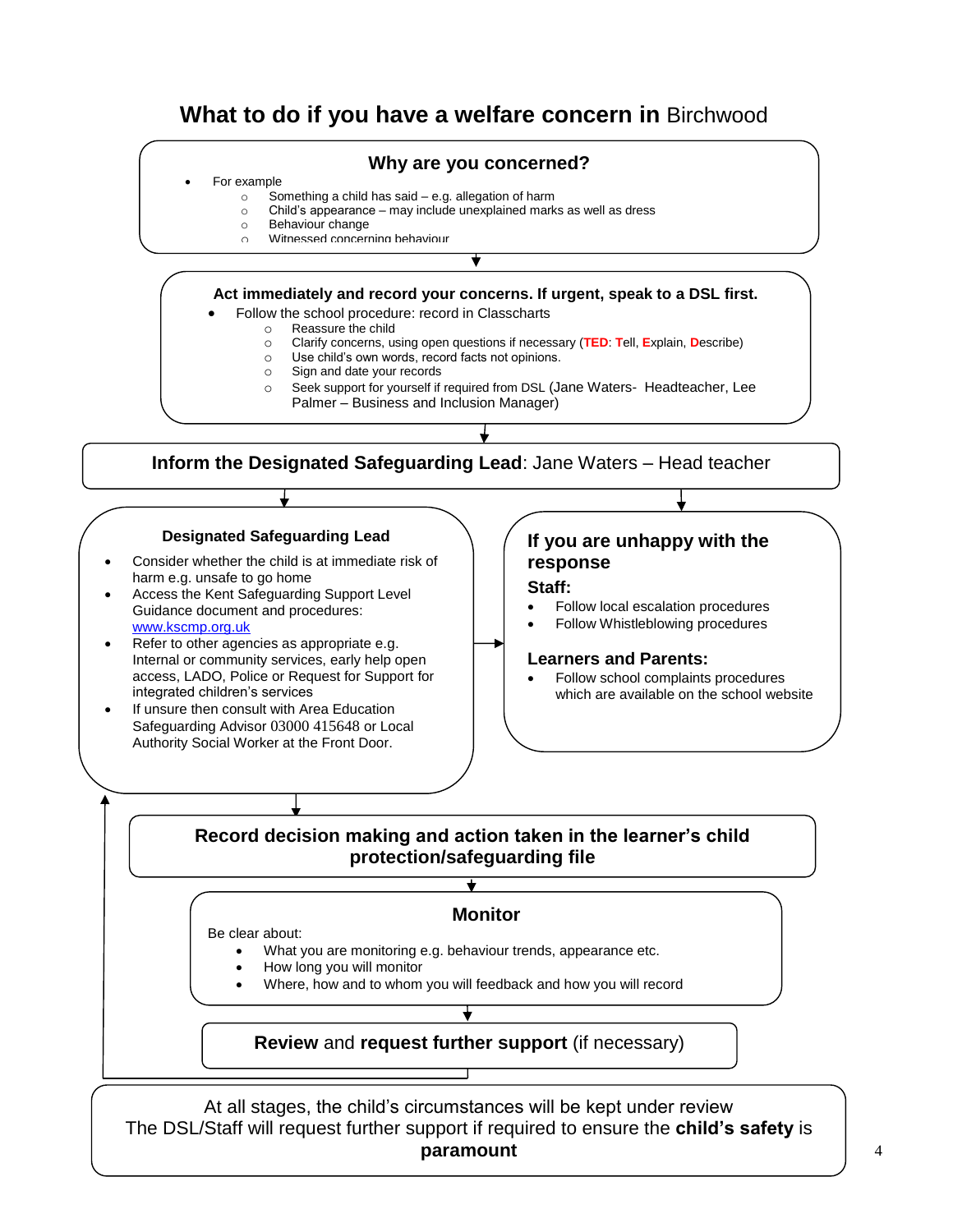# **What to do if you have a welfare concern in** Birchwood

### **Why are you concerned?**

#### For example

- o Something a child has said e.g. allegation of harm
- o Child's appearance may include unexplained marks as well as dress
- o Behaviour change
- o Witnessed concerning behaviour

**Act immediately and record your concerns. If urgent, speak to a DSL first.**

- Follow the school procedure: record in Classcharts
	- o Reassure the child
	- o Clarify concerns, using open questions if necessary (**TED**: **T**ell, **E**xplain, **D**escribe)
	- o Use child's own words, record facts not opinions.
	- o Sign and date your records
	- o Seek support for yourself if required from DSL (Jane Waters- Headteacher, Lee Palmer – Business and Inclusion Manager)

**Inform the Designated Safeguarding Lead**: Jane Waters – Head teacher

#### **Designated Safeguarding Lead**

- Consider whether the child is at immediate risk of harm e.g. unsafe to go home
- Access the Kent Safeguarding Support Level Guidance document and procedures: [www.kscmp.org.uk](http://www.kscmp.org.uk/)
- Refer to other agencies as appropriate e.g. Internal or community services, early help open access, LADO, Police or Request for Support for integrated children's services
- If unsure then consult with Area Education Safeguarding Advisor 03000 415648 or Local Authority Social Worker at the Front Door.

# **If you are unhappy with the response**

#### **Staff:**

- Follow local escalation procedures
- Follow Whistleblowing procedures

#### **Learners and Parents:**

 Follow school complaints procedures which are available on the school website

## **Record decision making and action taken in the learner's child protection/safeguarding file**

 $\overline{\textbf{t}}$ 

#### **Monitor**

Be clear about:

- What you are monitoring e.g. behaviour trends, appearance etc.
- How long you will monitor
- Where, how and to whom you will feedback and how you will record

## **Review** and **request further support** (if necessary)

At all stages, the child's circumstances will be kept under review The DSL/Staff will request further support if required to ensure the **child's safety** is **paramount**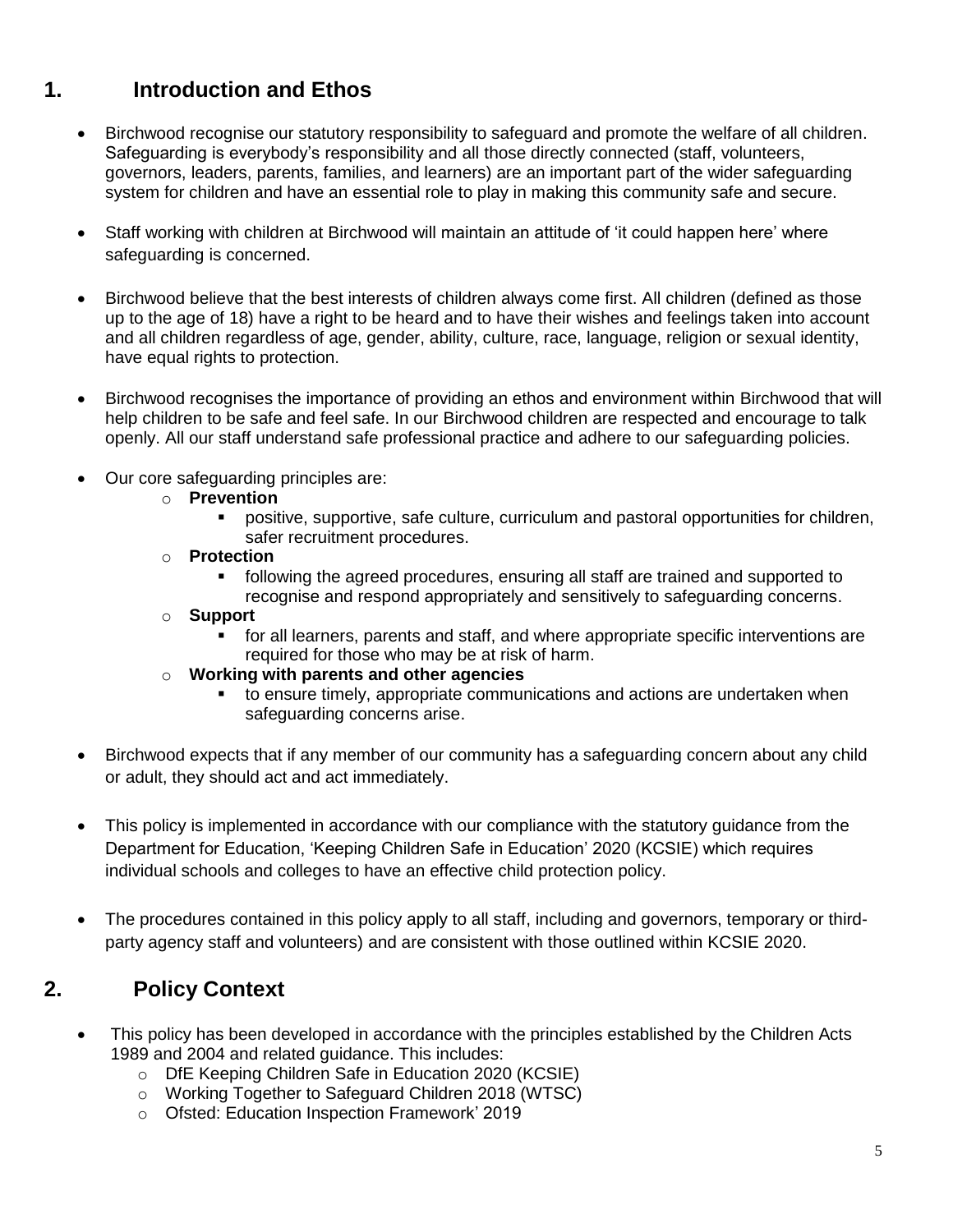# **1. Introduction and Ethos**

- Birchwood recognise our statutory responsibility to safeguard and promote the welfare of all children. Safeguarding is everybody's responsibility and all those directly connected (staff, volunteers, governors, leaders, parents, families, and learners) are an important part of the wider safeguarding system for children and have an essential role to play in making this community safe and secure.
- Staff working with children at Birchwood will maintain an attitude of 'it could happen here' where safeguarding is concerned.
- Birchwood believe that the best interests of children always come first. All children (defined as those up to the age of 18) have a right to be heard and to have their wishes and feelings taken into account and all children regardless of age, gender, ability, culture, race, language, religion or sexual identity, have equal rights to protection.
- Birchwood recognises the importance of providing an ethos and environment within Birchwood that will help children to be safe and feel safe. In our Birchwood children are respected and encourage to talk openly. All our staff understand safe professional practice and adhere to our safeguarding policies.
- Our core safeguarding principles are:
	- o **Prevention**
		- positive, supportive, safe culture, curriculum and pastoral opportunities for children, safer recruitment procedures.
	- o **Protection**
		- following the agreed procedures, ensuring all staff are trained and supported to recognise and respond appropriately and sensitively to safeguarding concerns.
	- o **Support**
		- for all learners, parents and staff, and where appropriate specific interventions are required for those who may be at risk of harm.
	- o **Working with parents and other agencies**
		- to ensure timely, appropriate communications and actions are undertaken when safeguarding concerns arise.
- Birchwood expects that if any member of our community has a safeguarding concern about any child or adult, they should act and act immediately.
- This policy is implemented in accordance with our compliance with the statutory guidance from the Department for Education, 'Keeping Children Safe in Education' 2020 (KCSIE) which requires individual schools and colleges to have an effective child protection policy.
- The procedures contained in this policy apply to all staff, including and governors, temporary or thirdparty agency staff and volunteers) and are consistent with those outlined within KCSIE 2020.

# **2. Policy Context**

- This policy has been developed in accordance with the principles established by the Children Acts 1989 and 2004 and related guidance. This includes:
	- o DfE Keeping Children Safe in Education 2020 (KCSIE)
	- o Working Together to Safeguard Children 2018 (WTSC)
	- o Ofsted: Education Inspection Framework' 2019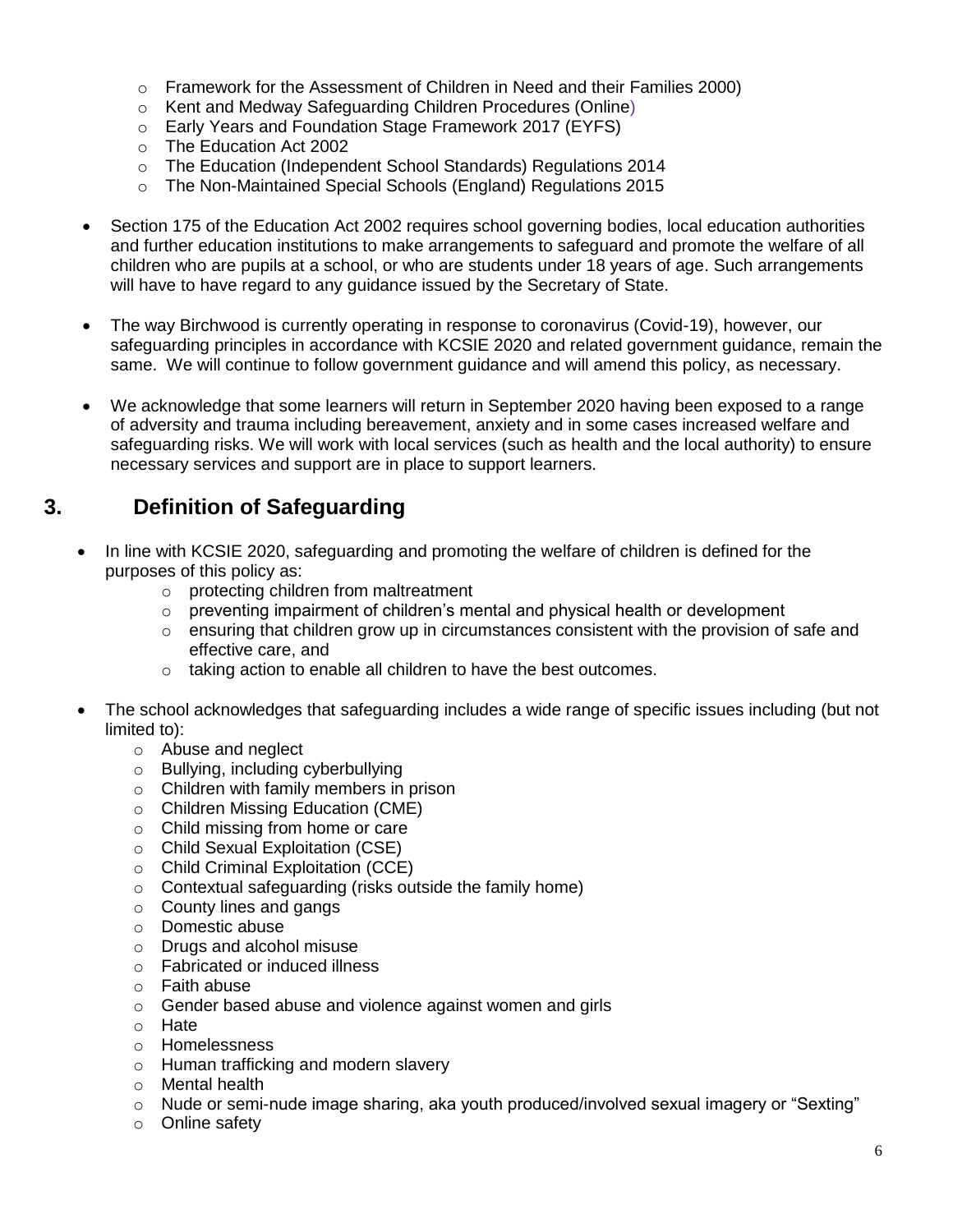- o Framework for the Assessment of Children in Need and their Families 2000)
- o Kent and Medway Safeguarding Children Procedures (Online)
- o Early Years and Foundation Stage Framework 2017 (EYFS)
- o The Education Act 2002
- o The Education (Independent School Standards) Regulations 2014
- o The Non-Maintained Special Schools (England) Regulations 2015
- Section 175 of the Education Act 2002 requires school governing bodies, local education authorities and further education institutions to make arrangements to safeguard and promote the welfare of all children who are pupils at a school, or who are students under 18 years of age. Such arrangements will have to have regard to any guidance issued by the Secretary of State.
- The way Birchwood is currently operating in response to coronavirus (Covid-19), however, our safeguarding principles in accordance with KCSIE 2020 and related government guidance, remain the same. We will continue to follow government guidance and will amend this policy, as necessary.
- We acknowledge that some learners will return in September 2020 having been exposed to a range of adversity and trauma including bereavement, anxiety and in some cases increased welfare and safeguarding risks. We will work with local services (such as health and the local authority) to ensure necessary services and support are in place to support learners.

# **3. Definition of Safeguarding**

- In line with KCSIE 2020, safeguarding and promoting the welfare of children is defined for the purposes of this policy as:
	- o protecting children from maltreatment
	- o preventing impairment of children's mental and physical health or development
	- $\circ$  ensuring that children grow up in circumstances consistent with the provision of safe and effective care, and
	- o taking action to enable all children to have the best outcomes.
- The school acknowledges that safeguarding includes a wide range of specific issues including (but not limited to):
	- o Abuse and neglect
	- o Bullying, including cyberbullying
	- o Children with family members in prison
	- o Children Missing Education (CME)
	- o Child missing from home or care
	- o Child Sexual Exploitation (CSE)
	- o Child Criminal Exploitation (CCE)
	- o Contextual safeguarding (risks outside the family home)
	- o County lines and gangs
	- o Domestic abuse
	- o Drugs and alcohol misuse
	- o Fabricated or induced illness
	- o Faith abuse
	- o Gender based abuse and violence against women and girls
	- o Hate
	- o Homelessness
	- o Human trafficking and modern slavery
	- o Mental health
	- o Nude or semi-nude image sharing, aka youth produced/involved sexual imagery or "Sexting"
	- o Online safety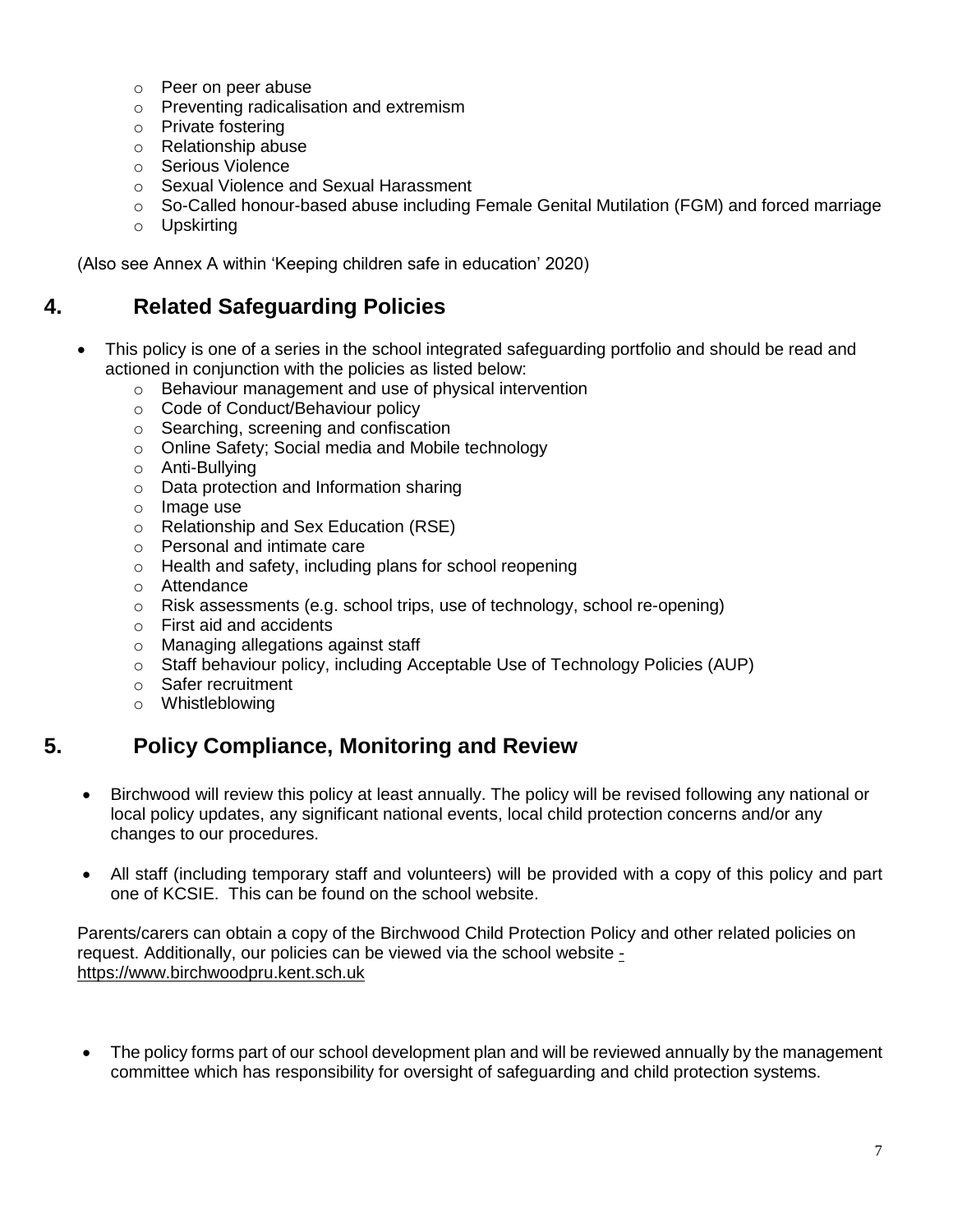- o Peer on peer abuse
- o Preventing radicalisation and extremism
- o Private fostering
- o Relationship abuse
- o Serious Violence
- o Sexual Violence and Sexual Harassment
- $\circ$  So-Called honour-based abuse including Female Genital Mutilation (FGM) and forced marriage
- o Upskirting

(Also see Annex A within 'Keeping children safe in education' 2020)

# **4. Related Safeguarding Policies**

- This policy is one of a series in the school integrated safeguarding portfolio and should be read and actioned in conjunction with the policies as listed below:
	- o Behaviour management and use of physical intervention
	- o Code of Conduct/Behaviour policy
	- o Searching, screening and confiscation
	- o Online Safety; Social media and Mobile technology
	- o Anti-Bullying
	- o Data protection and Information sharing
	- o Image use
	- o Relationship and Sex Education (RSE)
	- o Personal and intimate care
	- o Health and safety, including plans for school reopening
	- o Attendance
	- o Risk assessments (e.g. school trips, use of technology, school re-opening)
	- o First aid and accidents
	- o Managing allegations against staff
	- o Staff behaviour policy, including Acceptable Use of Technology Policies (AUP)
	- o Safer recruitment
	- o Whistleblowing

# **5. Policy Compliance, Monitoring and Review**

- Birchwood will review this policy at least annually. The policy will be revised following any national or local policy updates, any significant national events, local child protection concerns and/or any changes to our procedures.
- All staff (including temporary staff and volunteers) will be provided with a copy of this policy and part one of KCSIE. This can be found on the school website.

Parents/carers can obtain a copy of the Birchwood Child Protection Policy and other related policies on request. Additionally, our policies can be viewed via the school website [https://www.birchwoodpru.kent.sch.uk](file://///BPRU-DC1/EISNet%20Users$/Staff/LeePalmer/Downloads/-%20https:/www.birchwoodpru.kent.sch.uk)

• The policy forms part of our school development plan and will be reviewed annually by the management committee which has responsibility for oversight of safeguarding and child protection systems.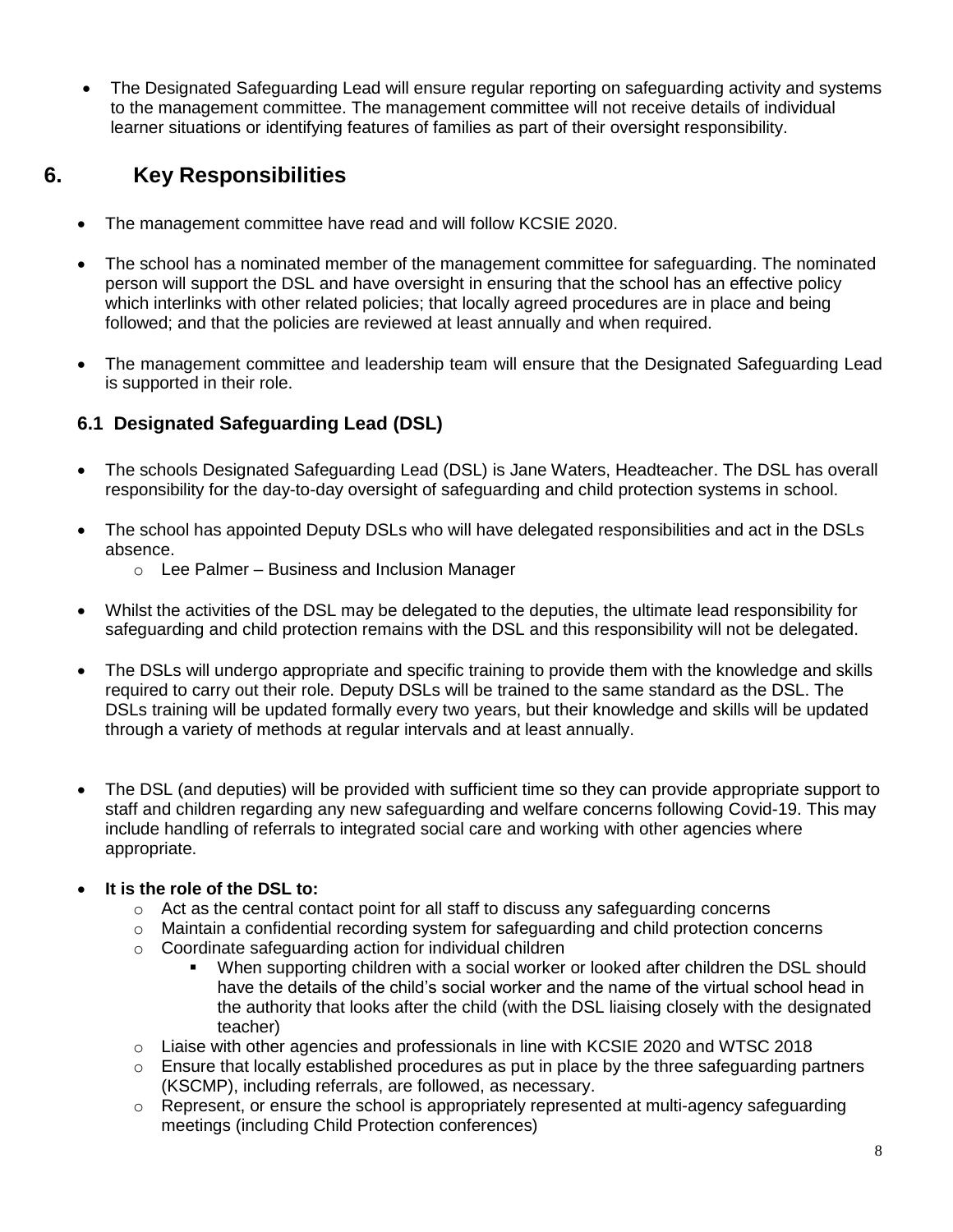The Designated Safeguarding Lead will ensure regular reporting on safeguarding activity and systems to the management committee. The management committee will not receive details of individual learner situations or identifying features of families as part of their oversight responsibility.

# **6. Key Responsibilities**

- The management committee have read and will follow KCSIE 2020.
- The school has a nominated member of the management committee for safeguarding. The nominated person will support the DSL and have oversight in ensuring that the school has an effective policy which interlinks with other related policies; that locally agreed procedures are in place and being followed; and that the policies are reviewed at least annually and when required.
- The management committee and leadership team will ensure that the Designated Safeguarding Lead is supported in their role.

# **6.1 Designated Safeguarding Lead (DSL)**

- The schools Designated Safeguarding Lead (DSL) is Jane Waters, Headteacher. The DSL has overall responsibility for the day-to-day oversight of safeguarding and child protection systems in school.
- The school has appointed Deputy DSLs who will have delegated responsibilities and act in the DSLs absence.
	- o Lee Palmer Business and Inclusion Manager
- Whilst the activities of the DSL may be delegated to the deputies, the ultimate lead responsibility for safeguarding and child protection remains with the DSL and this responsibility will not be delegated.
- The DSLs will undergo appropriate and specific training to provide them with the knowledge and skills required to carry out their role. Deputy DSLs will be trained to the same standard as the DSL. The DSLs training will be updated formally every two years, but their knowledge and skills will be updated through a variety of methods at regular intervals and at least annually.
- The DSL (and deputies) will be provided with sufficient time so they can provide appropriate support to staff and children regarding any new safeguarding and welfare concerns following Covid-19. This may include handling of referrals to integrated social care and working with other agencies where appropriate.

## **It is the role of the DSL to:**

- $\circ$  Act as the central contact point for all staff to discuss any safeguarding concerns
- $\circ$  Maintain a confidential recording system for safeguarding and child protection concerns
- o Coordinate safeguarding action for individual children
	- When supporting children with a social worker or looked after children the DSL should have the details of the child's social worker and the name of the virtual school head in the authority that looks after the child (with the DSL liaising closely with the designated teacher)
- $\circ$  Liaise with other agencies and professionals in line with KCSIE 2020 and WTSC 2018
- $\circ$  Ensure that locally established procedures as put in place by the three safeguarding partners (KSCMP), including referrals, are followed, as necessary.
- $\circ$  Represent, or ensure the school is appropriately represented at multi-agency safeguarding meetings (including Child Protection conferences)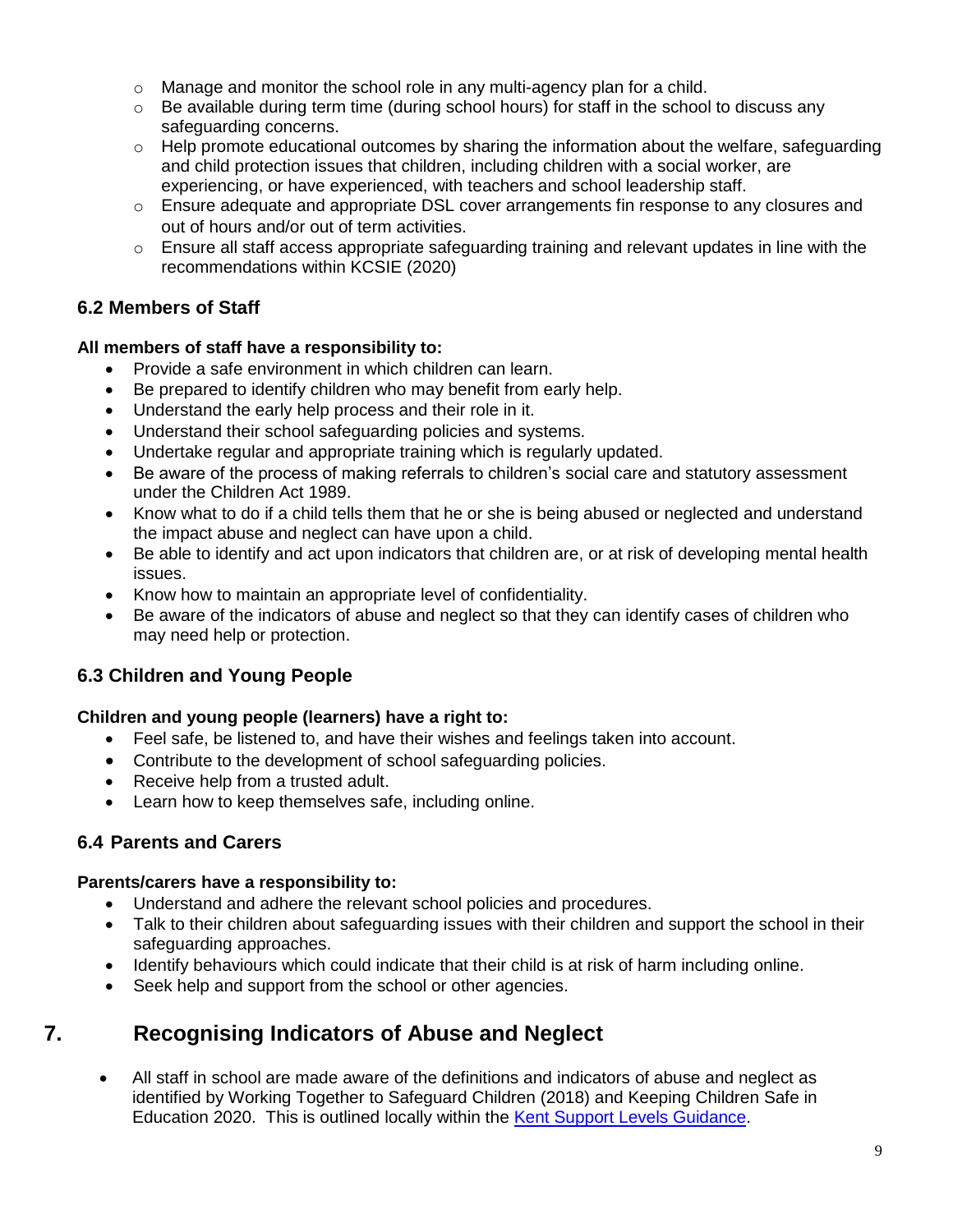- o Manage and monitor the school role in any multi-agency plan for a child.
- $\circ$  Be available during term time (during school hours) for staff in the school to discuss any safeguarding concerns.
- $\circ$  Help promote educational outcomes by sharing the information about the welfare, safeguarding and child protection issues that children, including children with a social worker, are experiencing, or have experienced, with teachers and school leadership staff.
- $\circ$  Ensure adequate and appropriate DSL cover arrangements fin response to any closures and out of hours and/or out of term activities.
- $\circ$  Ensure all staff access appropriate safeguarding training and relevant updates in line with the recommendations within KCSIE (2020)

## **6.2 Members of Staff**

### **All members of staff have a responsibility to:**

- Provide a safe environment in which children can learn.
- Be prepared to identify children who may benefit from early help.
- Understand the early help process and their role in it.
- Understand their school safeguarding policies and systems.
- Undertake regular and appropriate training which is regularly updated.
- Be aware of the process of making referrals to children's social care and statutory assessment under the Children Act 1989.
- Know what to do if a child tells them that he or she is being abused or neglected and understand the impact abuse and neglect can have upon a child.
- Be able to identify and act upon indicators that children are, or at risk of developing mental health issues.
- Know how to maintain an appropriate level of confidentiality.
- Be aware of the indicators of abuse and neglect so that they can identify cases of children who may need help or protection.

# **6.3 Children and Young People**

## **Children and young people (learners) have a right to:**

- Feel safe, be listened to, and have their wishes and feelings taken into account.
- Contribute to the development of school safeguarding policies.
- Receive help from a trusted adult.
- Learn how to keep themselves safe, including online.

## **6.4 Parents and Carers**

### **Parents/carers have a responsibility to:**

- Understand and adhere the relevant school policies and procedures.
- Talk to their children about safeguarding issues with their children and support the school in their safeguarding approaches.
- Identify behaviours which could indicate that their child is at risk of harm including online.
- Seek help and support from the school or other agencies.

# **7. Recognising Indicators of Abuse and Neglect**

 All staff in school are made aware of the definitions and indicators of abuse and neglect as identified by Working Together to Safeguard Children (2018) and Keeping Children Safe in Education 2020. This is outlined locally within the [Kent Support Levels Guidance.](https://www.kscmp.org.uk/guidance/kent-support-levels-guidance)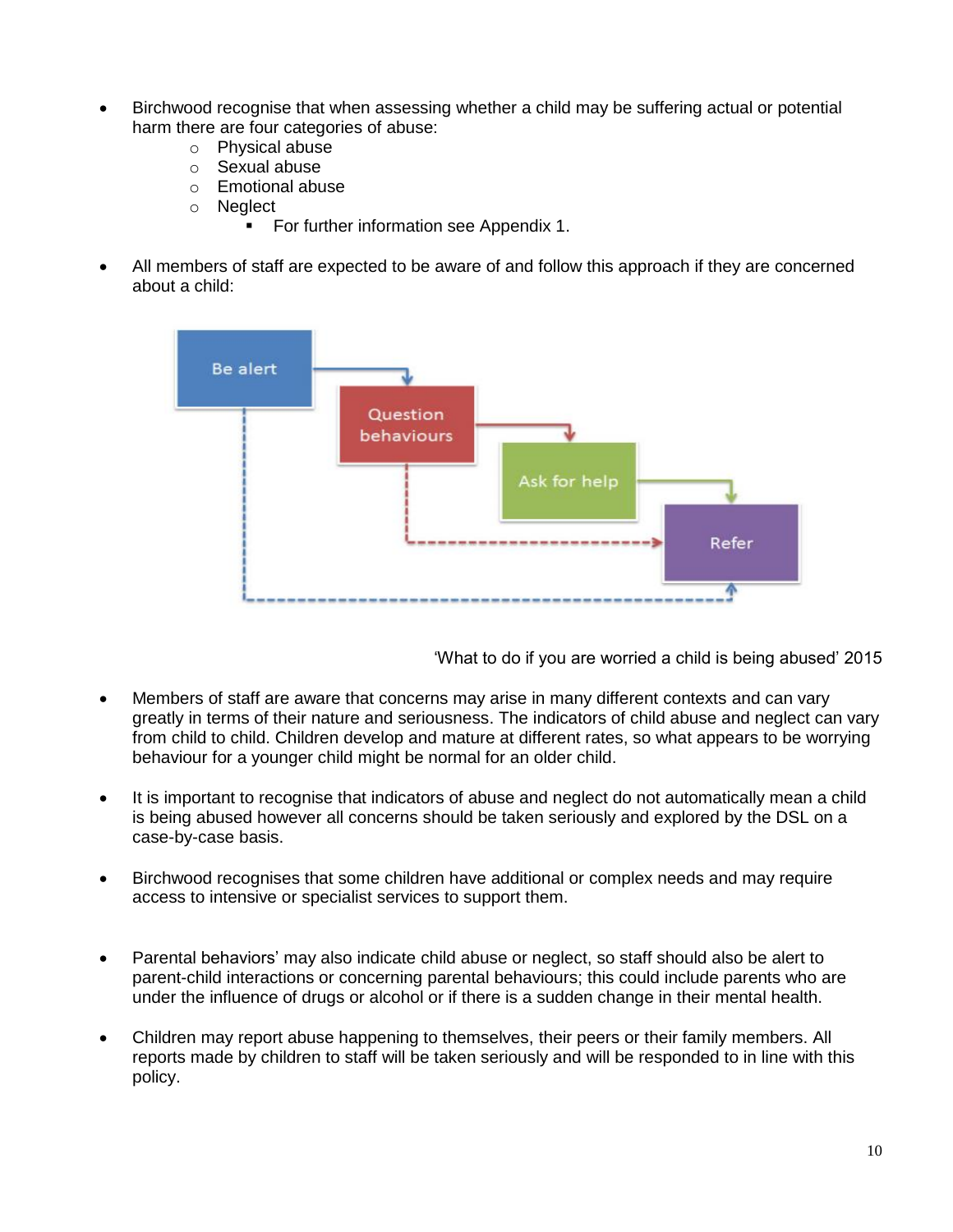- Birchwood recognise that when assessing whether a child may be suffering actual or potential harm there are four categories of abuse:
	- o Physical abuse
	- o Sexual abuse
	- o Emotional abuse
	- o Neglect
		- **For further information see Appendix 1.**
- All members of staff are expected to be aware of and follow this approach if they are concerned about a child:



'What to do if you are worried a child is being abused' 2015

- Members of staff are aware that concerns may arise in many different contexts and can vary greatly in terms of their nature and seriousness. The indicators of child abuse and neglect can vary from child to child. Children develop and mature at different rates, so what appears to be worrying behaviour for a younger child might be normal for an older child.
- It is important to recognise that indicators of abuse and neglect do not automatically mean a child is being abused however all concerns should be taken seriously and explored by the DSL on a case-by-case basis.
- Birchwood recognises that some children have additional or complex needs and may require access to intensive or specialist services to support them.
- Parental behaviors' may also indicate child abuse or neglect, so staff should also be alert to parent-child interactions or concerning parental behaviours; this could include parents who are under the influence of drugs or alcohol or if there is a sudden change in their mental health.
- Children may report abuse happening to themselves, their peers or their family members. All reports made by children to staff will be taken seriously and will be responded to in line with this policy.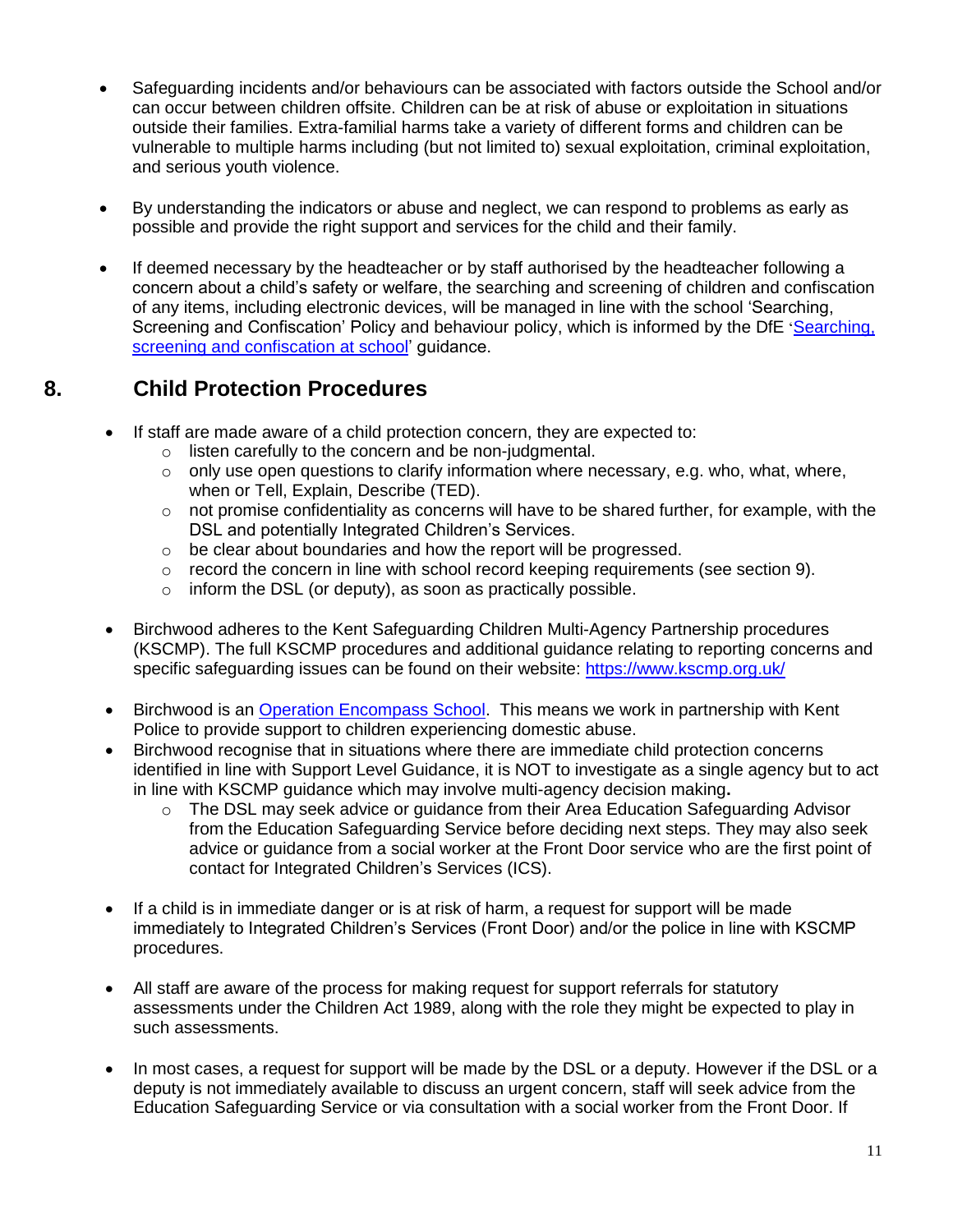- Safeguarding incidents and/or behaviours can be associated with factors outside the School and/or can occur between children offsite. Children can be at risk of abuse or exploitation in situations outside their families. Extra-familial harms take a variety of different forms and children can be vulnerable to multiple harms including (but not limited to) sexual exploitation, criminal exploitation, and serious youth violence.
- By understanding the indicators or abuse and neglect, we can respond to problems as early as possible and provide the right support and services for the child and their family.
- If deemed necessary by the headteacher or by staff authorised by the headteacher following a concern about a child's safety or welfare, the searching and screening of children and confiscation of any items, including electronic devices, will be managed in line with the school 'Searching, Screening and Confiscation' Policy and behaviour policy, which is informed by the DfE '[Searching,](https://www.gov.uk/government/publications/searching-screening-and-confiscation)  [screening and confiscation at school'](https://www.gov.uk/government/publications/searching-screening-and-confiscation) guidance.

# **8. Child Protection Procedures**

- If staff are made aware of a child protection concern, they are expected to:
	- o listen carefully to the concern and be non-judgmental.
	- $\circ$  only use open questions to clarify information where necessary, e.g. who, what, where, when or Tell, Explain, Describe (TED).
	- $\circ$  not promise confidentiality as concerns will have to be shared further, for example, with the DSL and potentially Integrated Children's Services.
	- $\circ$  be clear about boundaries and how the report will be progressed.
	- $\circ$  record the concern in line with school record keeping requirements (see section 9).
	- $\circ$  inform the DSL (or deputy), as soon as practically possible.
- Birchwood adheres to the Kent Safeguarding Children Multi-Agency Partnership procedures (KSCMP). The full KSCMP procedures and additional guidance relating to reporting concerns and specific safeguarding issues can be found on their website: <https://www.kscmp.org.uk/>
- Birchwood is an [Operation Encompass School.](https://www.operationencompass.org/) This means we work in partnership with Kent Police to provide support to children experiencing domestic abuse.
- Birchwood recognise that in situations where there are immediate child protection concerns identified in line with Support Level Guidance, it is NOT to investigate as a single agency but to act in line with KSCMP guidance which may involve multi-agency decision making**.**
	- $\circ$  The DSL may seek advice or guidance from their Area Education Safeguarding Advisor from the Education Safeguarding Service before deciding next steps. They may also seek advice or guidance from a social worker at the Front Door service who are the first point of contact for Integrated Children's Services (ICS).
- If a child is in immediate danger or is at risk of harm, a request for support will be made immediately to Integrated Children's Services (Front Door) and/or the police in line with KSCMP procedures.
- All staff are aware of the process for making request for support referrals for statutory assessments under the Children Act 1989, along with the role they might be expected to play in such assessments.
- In most cases, a request for support will be made by the DSL or a deputy. However if the DSL or a deputy is not immediately available to discuss an urgent concern, staff will seek advice from the Education Safeguarding Service or via consultation with a social worker from the Front Door. If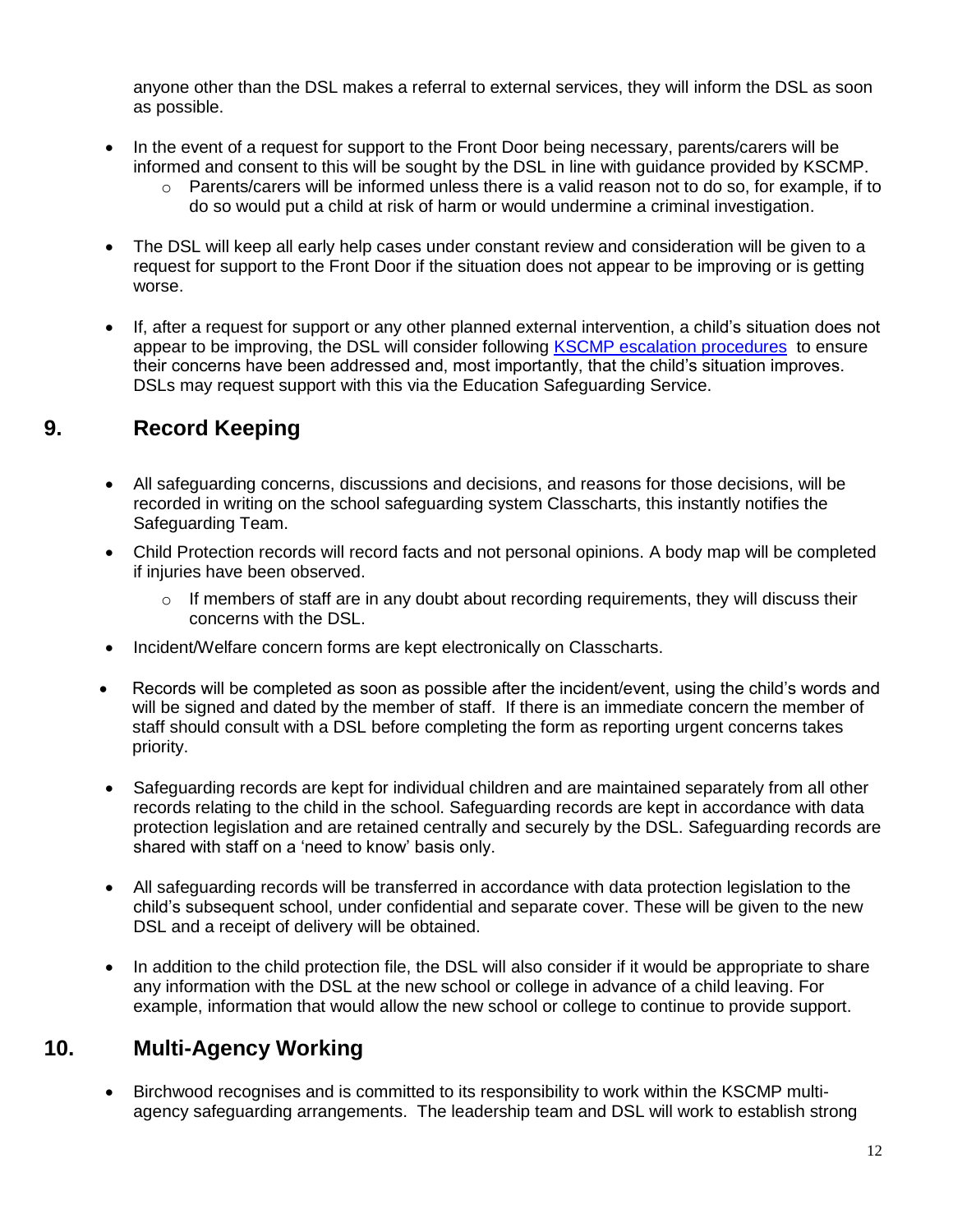anyone other than the DSL makes a referral to external services, they will inform the DSL as soon as possible.

- In the event of a request for support to the Front Door being necessary, parents/carers will be informed and consent to this will be sought by the DSL in line with guidance provided by KSCMP.
	- $\circ$  Parents/carers will be informed unless there is a valid reason not to do so, for example, if to do so would put a child at risk of harm or would undermine a criminal investigation.
- The DSL will keep all early help cases under constant review and consideration will be given to a request for support to the Front Door if the situation does not appear to be improving or is getting worse.
- If, after a request for support or any other planned external intervention, a child's situation does not appear to be improving, the DSL will consider following [KSCMP escalation procedures](https://www.proceduresonline.com/kentandmedway/chapters/p_resolution.html) to ensure their concerns have been addressed and, most importantly, that the child's situation improves. DSLs may request support with this via the Education Safeguarding Service.

# **9. Record Keeping**

- All safeguarding concerns, discussions and decisions, and reasons for those decisions, will be recorded in writing on the school safeguarding system Classcharts, this instantly notifies the Safeguarding Team.
- Child Protection records will record facts and not personal opinions. A body map will be completed if injuries have been observed.
	- $\circ$  If members of staff are in any doubt about recording requirements, they will discuss their concerns with the DSL.
- Incident/Welfare concern forms are kept electronically on Classcharts.
- Records will be completed as soon as possible after the incident/event, using the child's words and will be signed and dated by the member of staff. If there is an immediate concern the member of staff should consult with a DSL before completing the form as reporting urgent concerns takes priority.
- Safeguarding records are kept for individual children and are maintained separately from all other records relating to the child in the school. Safeguarding records are kept in accordance with data protection legislation and are retained centrally and securely by the DSL. Safeguarding records are shared with staff on a 'need to know' basis only.
- All safeguarding records will be transferred in accordance with data protection legislation to the child's subsequent school, under confidential and separate cover. These will be given to the new DSL and a receipt of delivery will be obtained.
- In addition to the child protection file, the DSL will also consider if it would be appropriate to share any information with the DSL at the new school or college in advance of a child leaving. For example, information that would allow the new school or college to continue to provide support.

# **10. Multi-Agency Working**

 Birchwood recognises and is committed to its responsibility to work within the KSCMP multiagency safeguarding arrangements. The leadership team and DSL will work to establish strong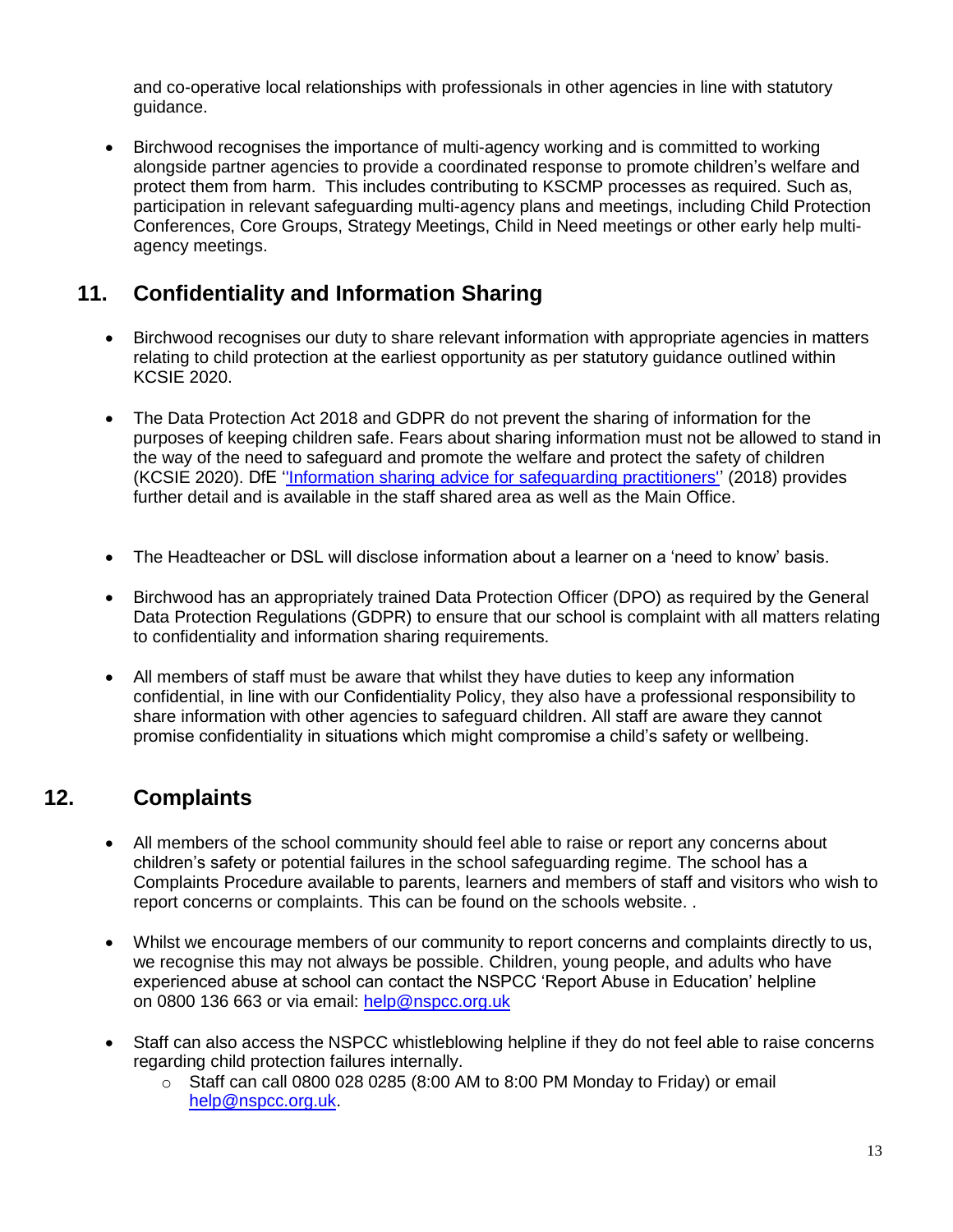and co-operative local relationships with professionals in other agencies in line with statutory guidance.

• Birchwood recognises the importance of multi-agency working and is committed to working alongside partner agencies to provide a coordinated response to promote children's welfare and protect them from harm. This includes contributing to KSCMP processes as required. Such as, participation in relevant safeguarding multi-agency plans and meetings, including Child Protection Conferences, Core Groups, Strategy Meetings, Child in Need meetings or other early help multiagency meetings.

# **11. Confidentiality and Information Sharing**

- Birchwood recognises our duty to share relevant information with appropriate agencies in matters relating to child protection at the earliest opportunity as per statutory guidance outlined within KCSIE 2020.
- The Data Protection Act 2018 and GDPR do not prevent the sharing of information for the purposes of keeping children safe. Fears about sharing information must not be allowed to stand in the way of the need to safeguard and promote the welfare and protect the safety of children (KCSIE 2020). DfE [''Information sharing advice for safeguarding practitioners''](https://www.gov.uk/government/publications/safeguarding-practitioners-information-sharing-advice) (2018) provides further detail and is available in the staff shared area as well as the Main Office.
- The Headteacher or DSL will disclose information about a learner on a 'need to know' basis.
- Birchwood has an appropriately trained Data Protection Officer (DPO) as required by the General Data Protection Regulations (GDPR) to ensure that our school is complaint with all matters relating to confidentiality and information sharing requirements.
- All members of staff must be aware that whilst they have duties to keep any information confidential, in line with our Confidentiality Policy, they also have a professional responsibility to share information with other agencies to safeguard children. All staff are aware they cannot promise confidentiality in situations which might compromise a child's safety or wellbeing.

# **12. Complaints**

- All members of the school community should feel able to raise or report any concerns about children's safety or potential failures in the school safeguarding regime. The school has a Complaints Procedure available to parents, learners and members of staff and visitors who wish to report concerns or complaints. This can be found on the schools website. .
- Whilst we encourage members of our community to report concerns and complaints directly to us, we recognise this may not always be possible. Children, young people, and adults who have experienced abuse at school can contact the NSPCC 'Report Abuse in Education' helpline on [0800 136 663](tel:0800%20136%20663) or via email: [help@nspcc.org.uk](mailto:help@nspcc.org.uk)
- Staff can also access the NSPCC whistleblowing helpline if they do not feel able to raise concerns regarding child protection failures internally.
	- $\circ$  Staff can call 0800 028 0285 (8:00 AM to 8:00 PM Monday to Friday) or email [help@nspcc.org.uk.](mailto:help@nspcc.org.uk)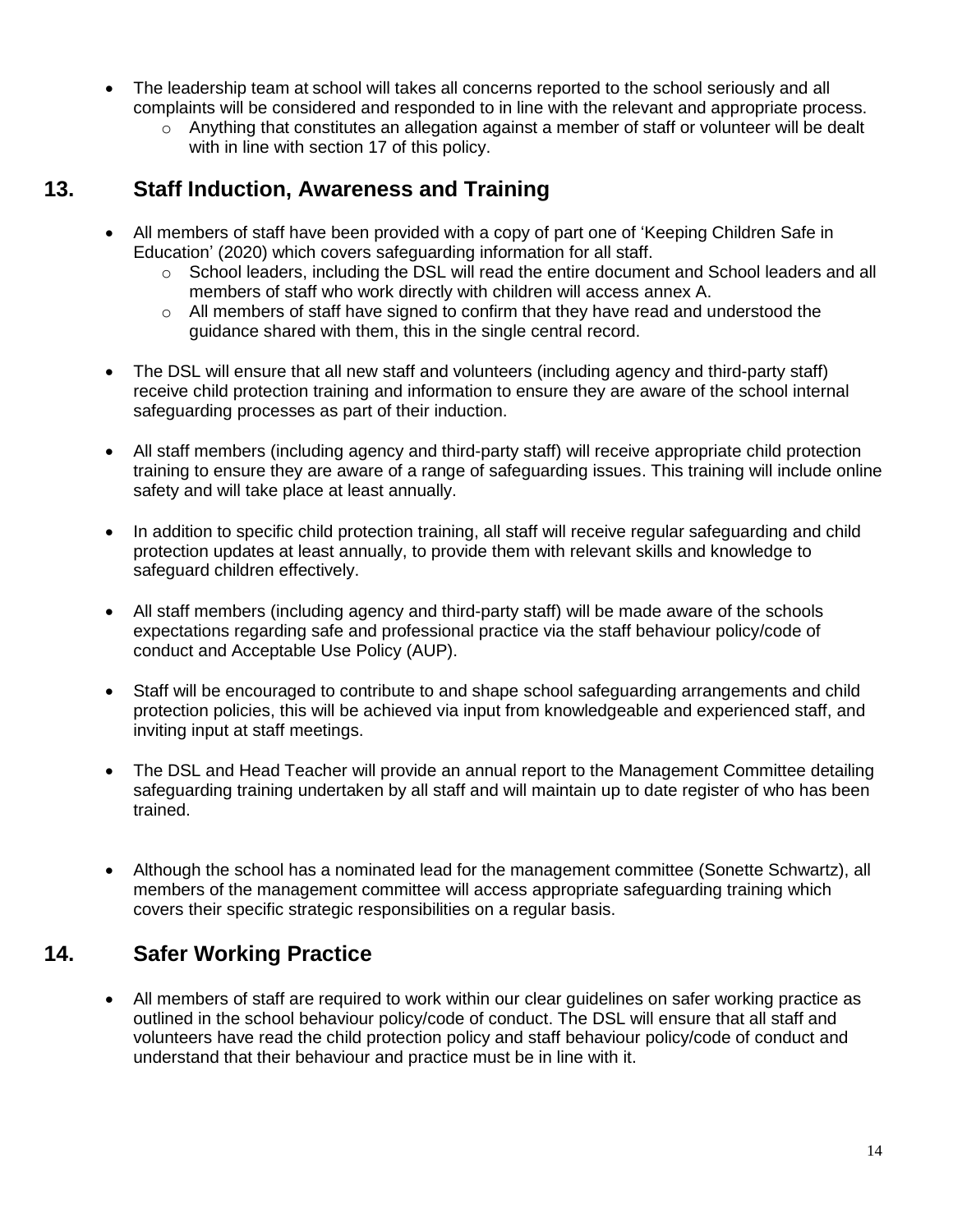- The leadership team at school will takes all concerns reported to the school seriously and all complaints will be considered and responded to in line with the relevant and appropriate process.
	- $\circ$  Anything that constitutes an allegation against a member of staff or volunteer will be dealt with in line with section 17 of this policy.

# **13. Staff Induction, Awareness and Training**

- All members of staff have been provided with a copy of part one of 'Keeping Children Safe in Education' (2020) which covers safeguarding information for all staff.
	- $\circ$  School leaders, including the DSL will read the entire document and School leaders and all members of staff who work directly with children will access annex A.
	- $\circ$  All members of staff have signed to confirm that they have read and understood the guidance shared with them, this in the single central record.
- The DSL will ensure that all new staff and volunteers (including agency and third-party staff) receive child protection training and information to ensure they are aware of the school internal safeguarding processes as part of their induction.
- All staff members (including agency and third-party staff) will receive appropriate child protection training to ensure they are aware of a range of safeguarding issues. This training will include online safety and will take place at least annually.
- In addition to specific child protection training, all staff will receive regular safeguarding and child protection updates at least annually, to provide them with relevant skills and knowledge to safeguard children effectively.
- All staff members (including agency and third-party staff) will be made aware of the schools expectations regarding safe and professional practice via the staff behaviour policy/code of conduct and Acceptable Use Policy (AUP).
- Staff will be encouraged to contribute to and shape school safeguarding arrangements and child protection policies, this will be achieved via input from knowledgeable and experienced staff, and inviting input at staff meetings.
- The DSL and Head Teacher will provide an annual report to the Management Committee detailing safeguarding training undertaken by all staff and will maintain up to date register of who has been trained.
- Although the school has a nominated lead for the management committee (Sonette Schwartz), all members of the management committee will access appropriate safeguarding training which covers their specific strategic responsibilities on a regular basis.

# **14. Safer Working Practice**

 All members of staff are required to work within our clear guidelines on safer working practice as outlined in the school behaviour policy/code of conduct. The DSL will ensure that all staff and volunteers have read the child protection policy and staff behaviour policy/code of conduct and understand that their behaviour and practice must be in line with it.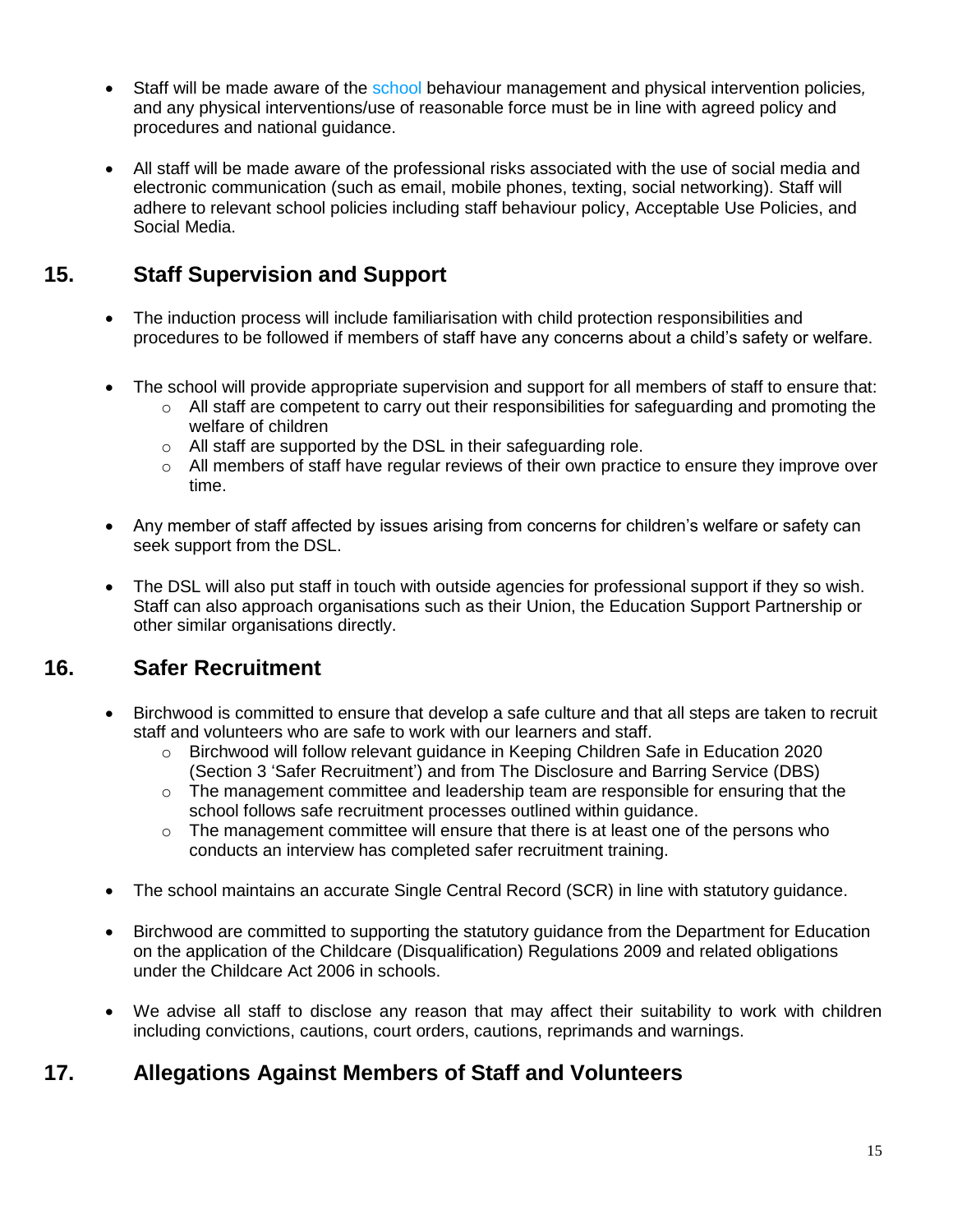- Staff will be made aware of the school behaviour management and physical intervention policies*,*  and any physical interventions/use of reasonable force must be in line with agreed policy and procedures and national guidance.
- All staff will be made aware of the professional risks associated with the use of social media and electronic communication (such as email, mobile phones, texting, social networking). Staff will adhere to relevant school policies including staff behaviour policy, Acceptable Use Policies, and Social Media.

# **15. Staff Supervision and Support**

- The induction process will include familiarisation with child protection responsibilities and procedures to be followed if members of staff have any concerns about a child's safety or welfare.
- The school will provide appropriate supervision and support for all members of staff to ensure that:
	- o All staff are competent to carry out their responsibilities for safeguarding and promoting the welfare of children
	- o All staff are supported by the DSL in their safeguarding role.
	- $\circ$  All members of staff have regular reviews of their own practice to ensure they improve over time.
- Any member of staff affected by issues arising from concerns for children's welfare or safety can seek support from the DSL.
- The DSL will also put staff in touch with outside agencies for professional support if they so wish. Staff can also approach organisations such as their Union, the Education Support Partnership or other similar organisations directly.

# **16. Safer Recruitment**

- Birchwood is committed to ensure that develop a safe culture and that all steps are taken to recruit staff and volunteers who are safe to work with our learners and staff.
	- o Birchwood will follow relevant guidance in Keeping Children Safe in Education 2020 (Section 3 'Safer Recruitment') and from The Disclosure and Barring Service (DBS)
	- $\circ$  The management committee and leadership team are responsible for ensuring that the school follows safe recruitment processes outlined within guidance.
	- $\circ$  The management committee will ensure that there is at least one of the persons who conducts an interview has completed safer recruitment training.
- The school maintains an accurate Single Central Record (SCR) in line with statutory guidance.
- Birchwood are committed to supporting the statutory guidance from the Department for Education on the application of the Childcare (Disqualification) Regulations 2009 and related obligations under the Childcare Act 2006 in schools.
- We advise all staff to disclose any reason that may affect their suitability to work with children including convictions, cautions, court orders, cautions, reprimands and warnings.

# **17. Allegations Against Members of Staff and Volunteers**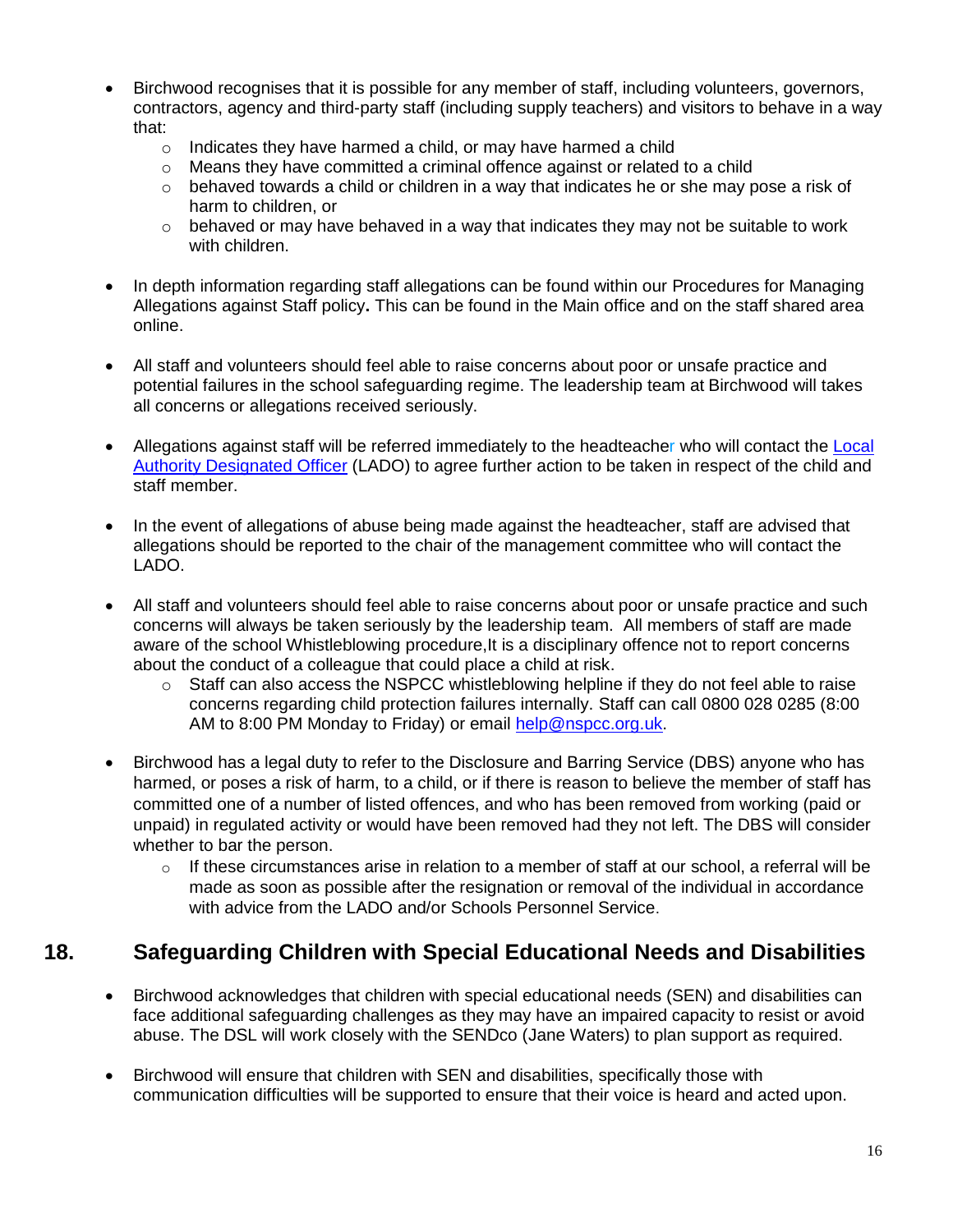- Birchwood recognises that it is possible for any member of staff, including volunteers, governors, contractors, agency and third-party staff (including supply teachers) and visitors to behave in a way that:
	- o Indicates they have harmed a child, or may have harmed a child
	- $\circ$  Means they have committed a criminal offence against or related to a child
	- $\circ$  behaved towards a child or children in a way that indicates he or she may pose a risk of harm to children, or
	- $\circ$  behaved or may have behaved in a way that indicates they may not be suitable to work with children.
- In depth information regarding staff allegations can be found within our Procedures for Managing Allegations against Staff policy**.** This can be found in the Main office and on the staff shared area online.
- All staff and volunteers should feel able to raise concerns about poor or unsafe practice and potential failures in the school safeguarding regime. The leadership team at Birchwood will takes all concerns or allegations received seriously.
- Allegations against staff will be referred immediately to the headteacher who will contact the Local [Authority Designated Officer](https://www.kscmp.org.uk/procedures/local-authority-designated-officer-lado) (LADO) to agree further action to be taken in respect of the child and staff member.
- In the event of allegations of abuse being made against the headteacher, staff are advised that allegations should be reported to the chair of the management committee who will contact the LADO.
- All staff and volunteers should feel able to raise concerns about poor or unsafe practice and such concerns will always be taken seriously by the leadership team. All members of staff are made aware of the school Whistleblowing procedure,It is a disciplinary offence not to report concerns about the conduct of a colleague that could place a child at risk.
	- $\circ$  Staff can also access the NSPCC whistleblowing helpline if they do not feel able to raise concerns regarding child protection failures internally. Staff can call 0800 028 0285 (8:00 AM to 8:00 PM Monday to Friday) or email [help@nspcc.org.uk.](mailto:help@nspcc.org.uk)
- Birchwood has a legal duty to refer to the Disclosure and Barring Service (DBS) anyone who has harmed, or poses a risk of harm, to a child, or if there is reason to believe the member of staff has committed one of a number of listed offences, and who has been removed from working (paid or unpaid) in regulated activity or would have been removed had they not left. The DBS will consider whether to bar the person.
	- $\circ$  If these circumstances arise in relation to a member of staff at our school, a referral will be made as soon as possible after the resignation or removal of the individual in accordance with advice from the LADO and/or Schools Personnel Service.

# **18. Safeguarding Children with Special Educational Needs and Disabilities**

- Birchwood acknowledges that children with special educational needs (SEN) and disabilities can face additional safeguarding challenges as they may have an impaired capacity to resist or avoid abuse. The DSL will work closely with the SENDco (Jane Waters) to plan support as required.
- Birchwood will ensure that children with SEN and disabilities, specifically those with communication difficulties will be supported to ensure that their voice is heard and acted upon.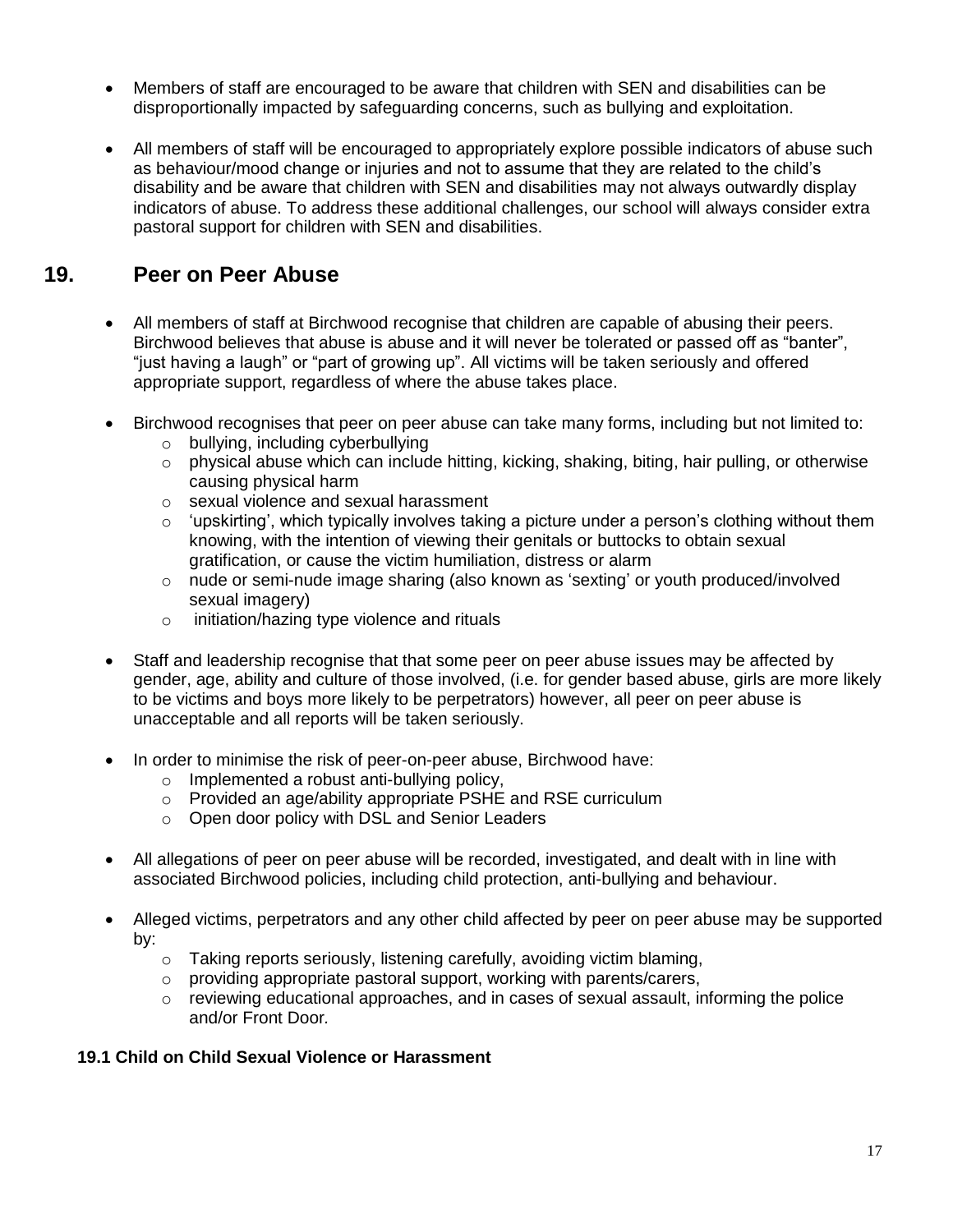- Members of staff are encouraged to be aware that children with SEN and disabilities can be disproportionally impacted by safeguarding concerns, such as bullying and exploitation.
- All members of staff will be encouraged to appropriately explore possible indicators of abuse such as behaviour/mood change or injuries and not to assume that they are related to the child's disability and be aware that children with SEN and disabilities may not always outwardly display indicators of abuse. To address these additional challenges, our school will always consider extra pastoral support for children with SEN and disabilities.

# **19. Peer on Peer Abuse**

- All members of staff at Birchwood recognise that children are capable of abusing their peers. Birchwood believes that abuse is abuse and it will never be tolerated or passed off as "banter", "just having a laugh" or "part of growing up". All victims will be taken seriously and offered appropriate support, regardless of where the abuse takes place.
- Birchwood recognises that peer on peer abuse can take many forms, including but not limited to:
	- o bullying, including cyberbullying
	- o physical abuse which can include hitting, kicking, shaking, biting, hair pulling, or otherwise causing physical harm
	- o sexual violence and sexual harassment
	- $\circ$  'upskirting', which typically involves taking a picture under a person's clothing without them knowing, with the intention of viewing their genitals or buttocks to obtain sexual gratification, or cause the victim humiliation, distress or alarm
	- $\circ$  nude or semi-nude image sharing (also known as 'sexting' or youth produced/involved sexual imagery)
	- o initiation/hazing type violence and rituals
- Staff and leadership recognise that that some peer on peer abuse issues may be affected by gender, age, ability and culture of those involved, (i.e. for gender based abuse, girls are more likely to be victims and boys more likely to be perpetrators) however, all peer on peer abuse is unacceptable and all reports will be taken seriously.
- In order to minimise the risk of peer-on-peer abuse, Birchwood have:
	- o Implemented a robust anti-bullying policy,
	- o Provided an age/ability appropriate PSHE and RSE curriculum
	- o Open door policy with DSL and Senior Leaders
- All allegations of peer on peer abuse will be recorded, investigated, and dealt with in line with associated Birchwood policies, including child protection, anti-bullying and behaviour.
- Alleged victims, perpetrators and any other child affected by peer on peer abuse may be supported by:
	- o Taking reports seriously, listening carefully, avoiding victim blaming,
	- o providing appropriate pastoral support, working with parents/carers,
	- $\circ$  reviewing educational approaches, and in cases of sexual assault, informing the police and/or Front Door*.*

### **19.1 Child on Child Sexual Violence or Harassment**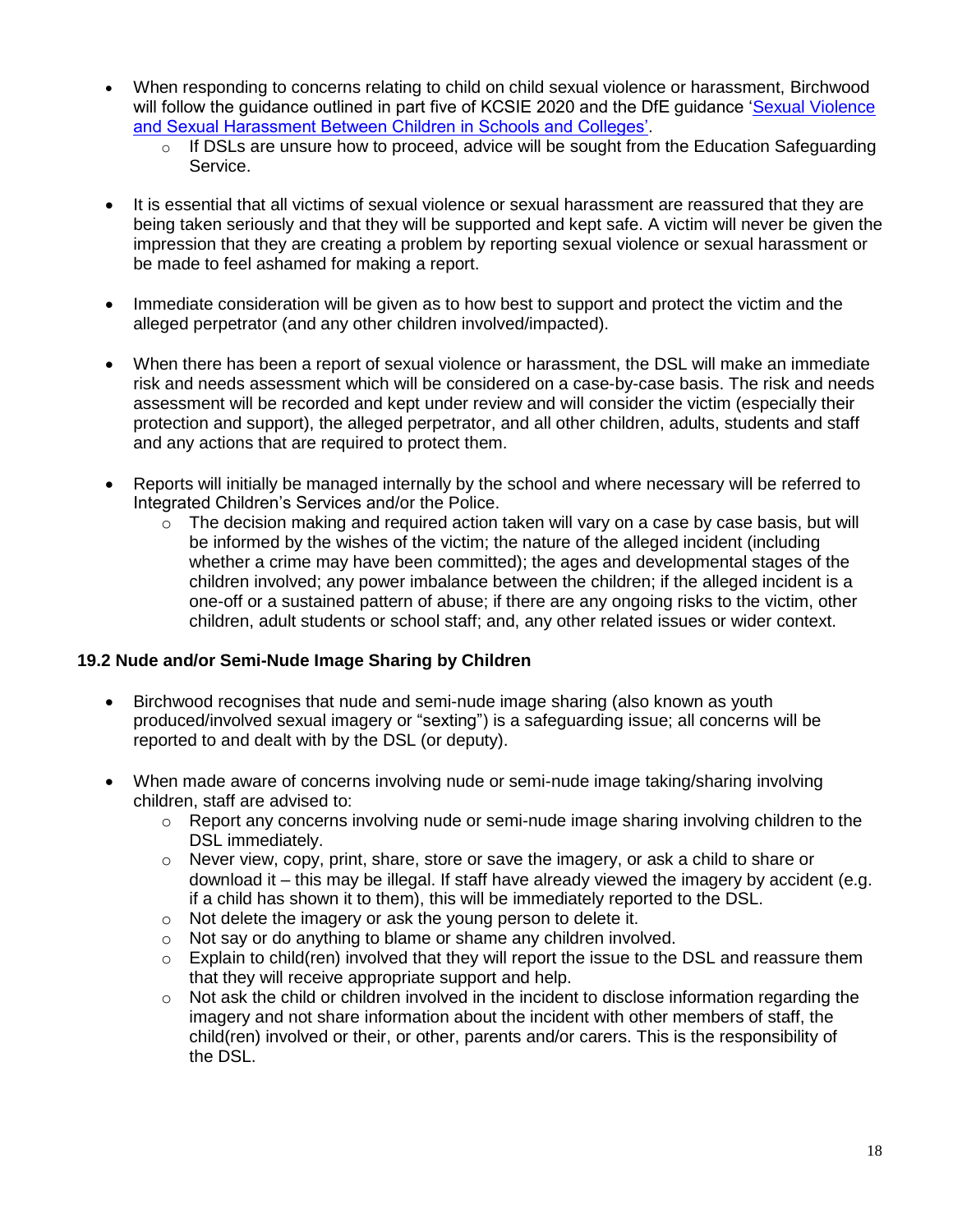- When responding to concerns relating to child on child sexual violence or harassment, Birchwood will follow the guidance outlined in part five of KCSIE 2020 and the DfE guidance 'Sexual Violence [and Sexual Harassment Between Children in Schools and Colleges'.](https://www.gov.uk/government/publications/sexual-violence-and-sexual-harassment-between-children-in-schools-and-colleges)
	- o If DSLs are unsure how to proceed, advice will be sought from the Education Safeguarding Service.
- It is essential that all victims of sexual violence or sexual harassment are reassured that they are being taken seriously and that they will be supported and kept safe. A victim will never be given the impression that they are creating a problem by reporting sexual violence or sexual harassment or be made to feel ashamed for making a report.
- Immediate consideration will be given as to how best to support and protect the victim and the alleged perpetrator (and any other children involved/impacted).
- When there has been a report of sexual violence or harassment, the DSL will make an immediate risk and needs assessment which will be considered on a case-by-case basis. The risk and needs assessment will be recorded and kept under review and will consider the victim (especially their protection and support), the alleged perpetrator, and all other children, adults, students and staff and any actions that are required to protect them.
- Reports will initially be managed internally by the school and where necessary will be referred to Integrated Children's Services and/or the Police.
	- $\circ$  The decision making and required action taken will vary on a case by case basis, but will be informed by the wishes of the victim; the nature of the alleged incident (including whether a crime may have been committed); the ages and developmental stages of the children involved; any power imbalance between the children; if the alleged incident is a one-off or a sustained pattern of abuse; if there are any ongoing risks to the victim, other children, adult students or school staff; and, any other related issues or wider context.

## **19.2 Nude and/or Semi-Nude Image Sharing by Children**

- Birchwood recognises that nude and semi-nude image sharing (also known as youth produced/involved sexual imagery or "sexting") is a safeguarding issue; all concerns will be reported to and dealt with by the DSL (or deputy).
- When made aware of concerns involving nude or semi-nude image taking/sharing involving children, staff are advised to:
	- $\circ$  Report any concerns involving nude or semi-nude image sharing involving children to the DSL immediately.
	- $\circ$  Never view, copy, print, share, store or save the imagery, or ask a child to share or download it – this may be illegal. If staff have already viewed the imagery by accident (e.g. if a child has shown it to them), this will be immediately reported to the DSL.
	- o Not delete the imagery or ask the young person to delete it.
	- o Not say or do anything to blame or shame any children involved.
	- o Explain to child(ren) involved that they will report the issue to the DSL and reassure them that they will receive appropriate support and help.
	- $\circ$  Not ask the child or children involved in the incident to disclose information regarding the imagery and not share information about the incident with other members of staff, the child(ren) involved or their, or other, parents and/or carers. This is the responsibility of the DSL.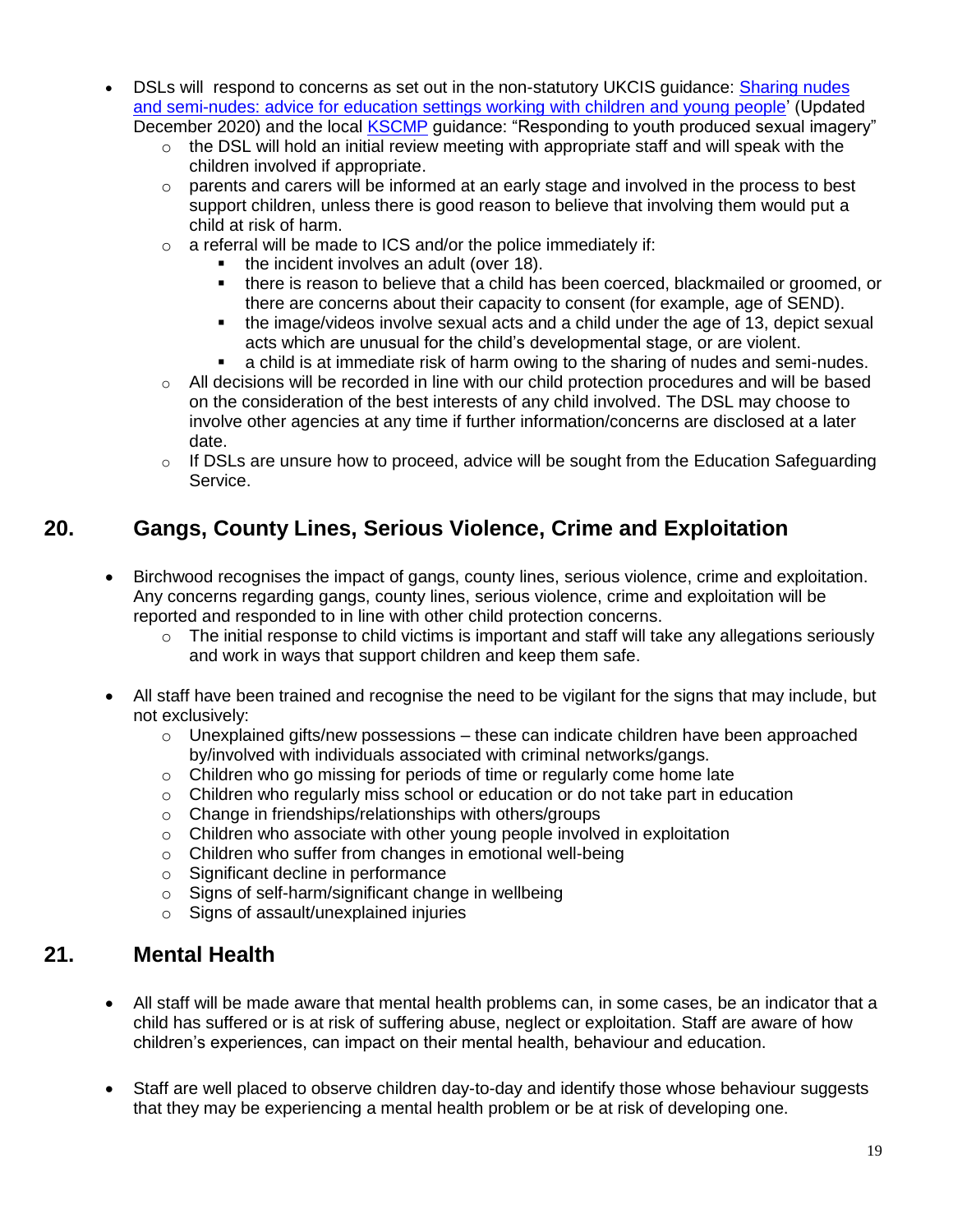- DSLs will respond to concerns as set out in the non-statutory UKCIS guidance: Sharing nudes [and semi-nudes: advice for education settings working with children and young people'](https://www.gov.uk/government/publications/sharing-nudes-and-semi-nudes-advice-for-education-settings-working-with-children-and-young-people) (Updated December 2020) and the local [KSCMP](http://www.kscb.org.uk/guidance/online-safety) quidance: "Responding to youth produced sexual imagery"
	- $\circ$  the DSL will hold an initial review meeting with appropriate staff and will speak with the children involved if appropriate.
	- $\circ$  parents and carers will be informed at an early stage and involved in the process to best support children, unless there is good reason to believe that involving them would put a child at risk of harm.
	- $\circ$  a referral will be made to ICS and/or the police immediately if:
		- the incident involves an adult (over 18).
		- there is reason to believe that a child has been coerced, blackmailed or groomed, or there are concerns about their capacity to consent (for example, age of SEND).
		- the image/videos involve sexual acts and a child under the age of 13, depict sexual acts which are unusual for the child's developmental stage, or are violent.
		- a child is at immediate risk of harm owing to the sharing of nudes and semi-nudes.
	- $\circ$  All decisions will be recorded in line with our child protection procedures and will be based on the consideration of the best interests of any child involved. The DSL may choose to involve other agencies at any time if further information/concerns are disclosed at a later date.
	- $\circ$  If DSLs are unsure how to proceed, advice will be sought from the Education Safeguarding Service.

# **20. Gangs, County Lines, Serious Violence, Crime and Exploitation**

- Birchwood recognises the impact of gangs, county lines, serious violence, crime and exploitation. Any concerns regarding gangs, county lines, serious violence, crime and exploitation will be reported and responded to in line with other child protection concerns.
	- $\circ$  The initial response to child victims is important and staff will take any allegations seriously and work in ways that support children and keep them safe.
- All staff have been trained and recognise the need to be vigilant for the signs that may include, but not exclusively:
	- $\circ$  Unexplained gifts/new possessions these can indicate children have been approached by/involved with individuals associated with criminal networks/gangs.
	- o Children who go missing for periods of time or regularly come home late
	- $\circ$  Children who regularly miss school or education or do not take part in education
	- o Change in friendships/relationships with others/groups
	- $\circ$  Children who associate with other young people involved in exploitation
	- o Children who suffer from changes in emotional well-being
	- o Significant decline in performance
	- o Signs of self-harm/significant change in wellbeing
	- o Signs of assault/unexplained injuries

# **21. Mental Health**

- All staff will be made aware that mental health problems can, in some cases, be an indicator that a child has suffered or is at risk of suffering abuse, neglect or exploitation. Staff are aware of how children's experiences, can impact on their mental health, behaviour and education.
- Staff are well placed to observe children day-to-day and identify those whose behaviour suggests that they may be experiencing a mental health problem or be at risk of developing one.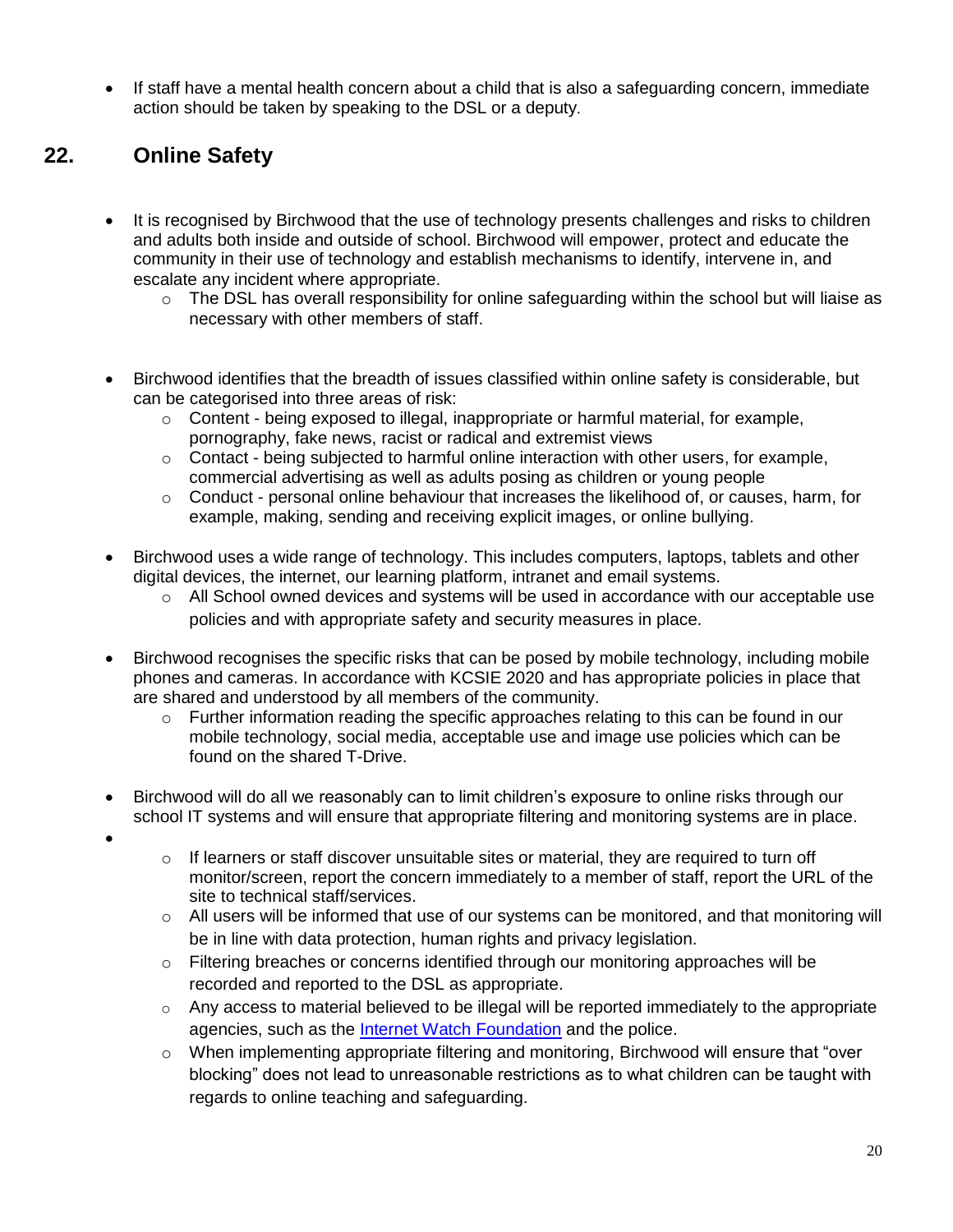If staff have a mental health concern about a child that is also a safeguarding concern, immediate action should be taken by speaking to the DSL or a deputy.

# **22. Online Safety**

 $\bullet$ 

- It is recognised by Birchwood that the use of technology presents challenges and risks to children and adults both inside and outside of school. Birchwood will empower, protect and educate the community in their use of technology and establish mechanisms to identify, intervene in, and escalate any incident where appropriate.
	- $\circ$  The DSL has overall responsibility for online safeguarding within the school but will liaise as necessary with other members of staff.
- Birchwood identifies that the breadth of issues classified within online safety is considerable, but can be categorised into three areas of risk:
	- $\circ$  Content being exposed to illegal, inappropriate or harmful material, for example, pornography, fake news, racist or radical and extremist views
	- $\circ$  Contact being subjected to harmful online interaction with other users, for example, commercial advertising as well as adults posing as children or young people
	- $\circ$  Conduct personal online behaviour that increases the likelihood of, or causes, harm, for example, making, sending and receiving explicit images, or online bullying.
- Birchwood uses a wide range of technology. This includes computers, laptops, tablets and other digital devices, the internet, our learning platform, intranet and email systems.
	- $\circ$  All School owned devices and systems will be used in accordance with our acceptable use policies and with appropriate safety and security measures in place.
- Birchwood recognises the specific risks that can be posed by mobile technology, including mobile phones and cameras. In accordance with KCSIE 2020 and has appropriate policies in place that are shared and understood by all members of the community.
	- $\circ$  Further information reading the specific approaches relating to this can be found in our mobile technology, social media, acceptable use and image use policies which can be found on the shared T-Drive.
- Birchwood will do all we reasonably can to limit children's exposure to online risks through our school IT systems and will ensure that appropriate filtering and monitoring systems are in place.
	- $\circ$  If learners or staff discover unsuitable sites or material, they are required to turn off monitor/screen, report the concern immediately to a member of staff, report the URL of the site to technical staff/services.
	- o All users will be informed that use of our systems can be monitored, and that monitoring will be in line with data protection, human rights and privacy legislation.
	- $\circ$  Filtering breaches or concerns identified through our monitoring approaches will be recorded and reported to the DSL as appropriate.
	- $\circ$  Any access to material believed to be illegal will be reported immediately to the appropriate agencies, such as the [Internet Watch Foundation](https://www.iwf.org.uk/) and the police.
	- o When implementing appropriate filtering and monitoring, Birchwood will ensure that "over blocking" does not lead to unreasonable restrictions as to what children can be taught with regards to online teaching and safeguarding.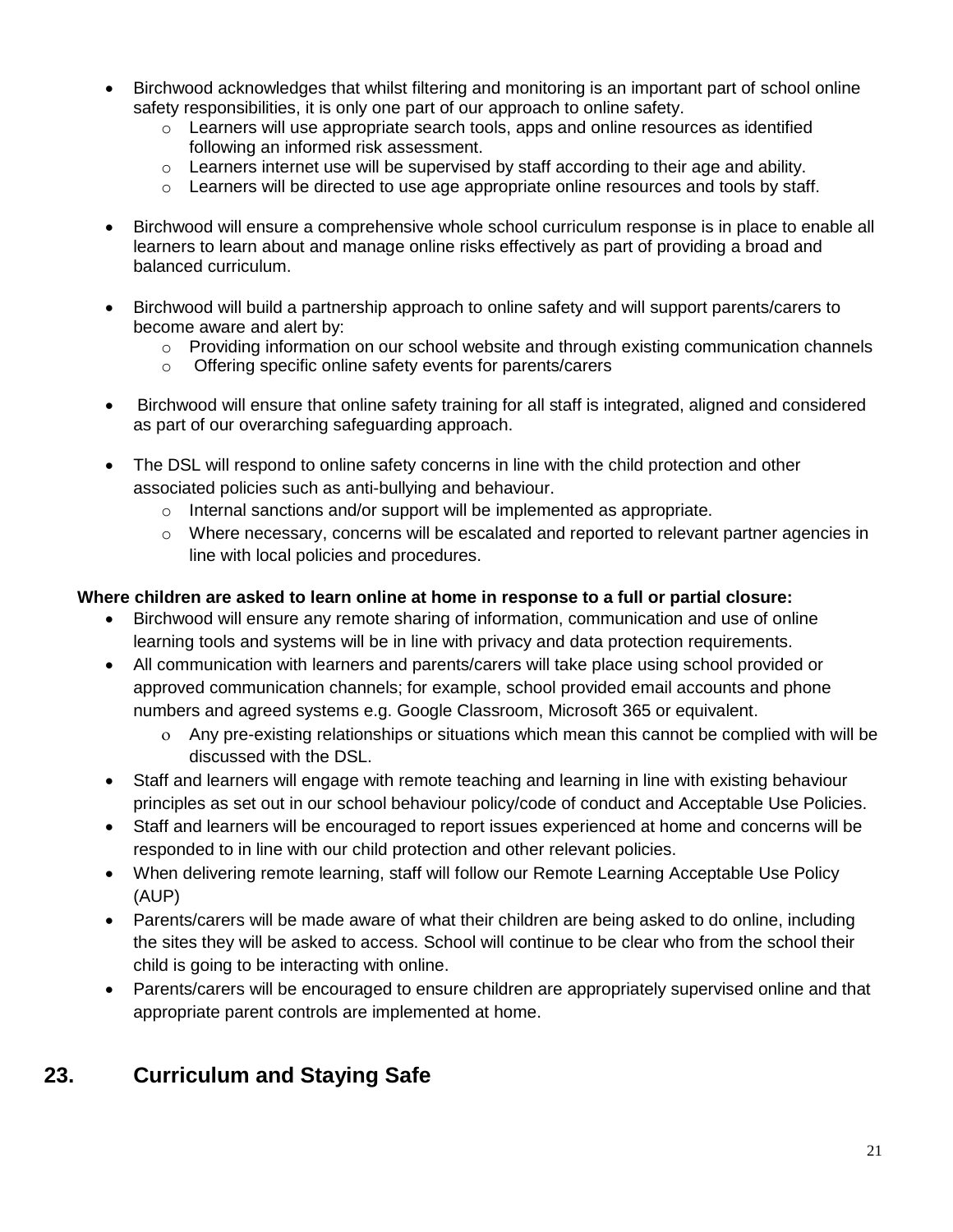- Birchwood acknowledges that whilst filtering and monitoring is an important part of school online safety responsibilities, it is only one part of our approach to online safety.
	- $\circ$  Learners will use appropriate search tools, apps and online resources as identified following an informed risk assessment.
	- $\circ$  Learners internet use will be supervised by staff according to their age and ability.
	- $\circ$  Learners will be directed to use age appropriate online resources and tools by staff.
- Birchwood will ensure a comprehensive whole school curriculum response is in place to enable all learners to learn about and manage online risks effectively as part of providing a broad and balanced curriculum.
- Birchwood will build a partnership approach to online safety and will support parents/carers to become aware and alert by:
	- $\circ$  Providing information on our school website and through existing communication channels
	- o Offering specific online safety events for parents/carers
- Birchwood will ensure that online safety training for all staff is integrated, aligned and considered as part of our overarching safeguarding approach.
- The DSL will respond to online safety concerns in line with the child protection and other associated policies such as anti-bullying and behaviour.
	- o Internal sanctions and/or support will be implemented as appropriate.
	- $\circ$  Where necessary, concerns will be escalated and reported to relevant partner agencies in line with local policies and procedures.

### **Where children are asked to learn online at home in response to a full or partial closure:**

- Birchwood will ensure any remote sharing of information, communication and use of online learning tools and systems will be in line with privacy and data protection requirements.
- All communication with learners and parents/carers will take place using school provided or approved communication channels; for example, school provided email accounts and phone numbers and agreed systems e.g. Google Classroom, Microsoft 365 or equivalent.
	- Any pre-existing relationships or situations which mean this cannot be complied with will be discussed with the DSL.
- Staff and learners will engage with remote teaching and learning in line with existing behaviour principles as set out in our school behaviour policy/code of conduct and Acceptable Use Policies.
- Staff and learners will be encouraged to report issues experienced at home and concerns will be responded to in line with our child protection and other relevant policies.
- When delivering remote learning, staff will follow our Remote Learning Acceptable Use Policy (AUP)
- Parents/carers will be made aware of what their children are being asked to do online, including the sites they will be asked to access. School will continue to be clear who from the school their child is going to be interacting with online.
- Parents/carers will be encouraged to ensure children are appropriately supervised online and that appropriate parent controls are implemented at home.

# **23. Curriculum and Staying Safe**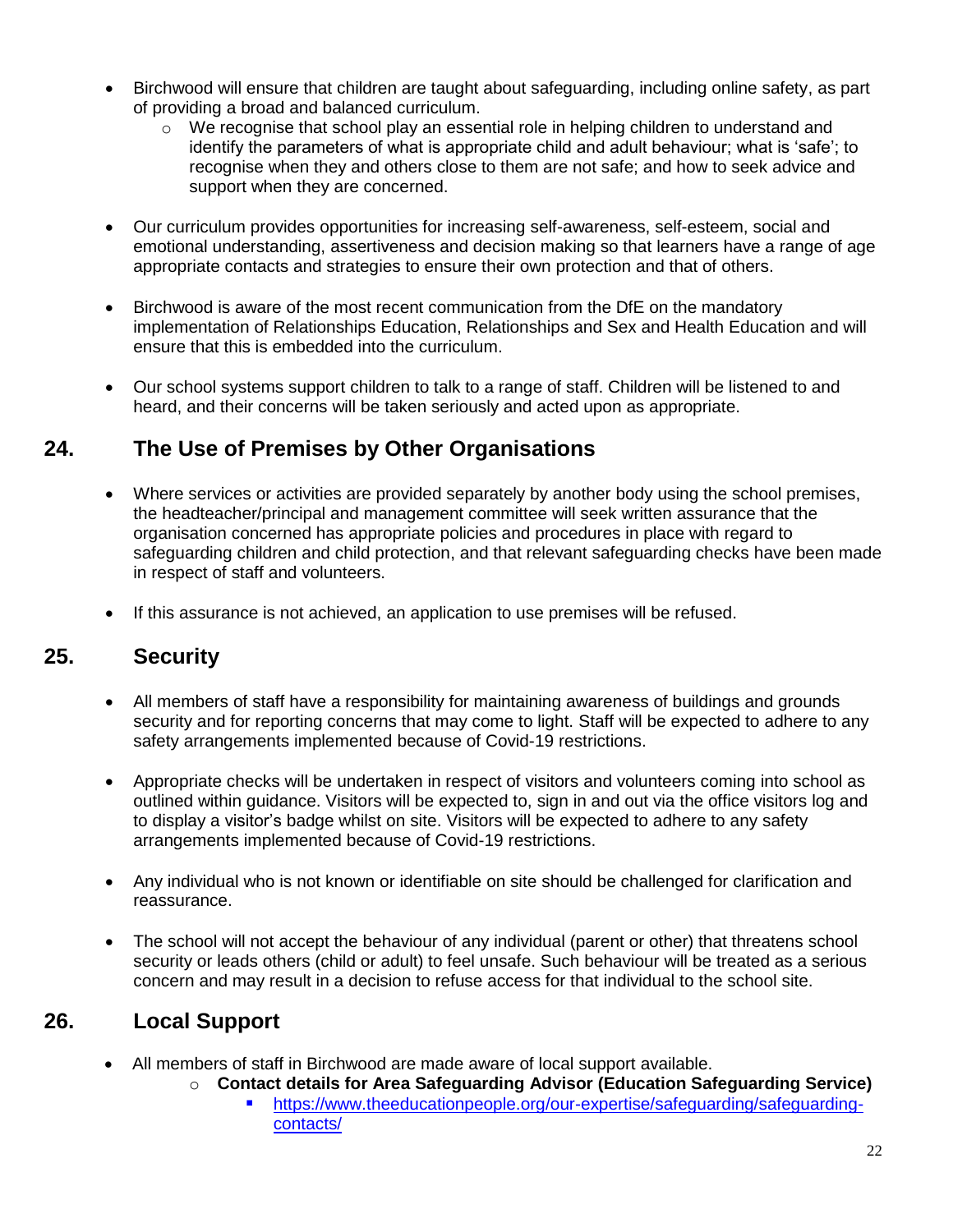- Birchwood will ensure that children are taught about safeguarding, including online safety, as part of providing a broad and balanced curriculum.
	- o We recognise that school play an essential role in helping children to understand and identify the parameters of what is appropriate child and adult behaviour; what is 'safe'; to recognise when they and others close to them are not safe; and how to seek advice and support when they are concerned.
- Our curriculum provides opportunities for increasing self-awareness, self-esteem, social and emotional understanding, assertiveness and decision making so that learners have a range of age appropriate contacts and strategies to ensure their own protection and that of others.
- Birchwood is aware of the most recent communication from the DfE on the mandatory implementation of Relationships Education, Relationships and Sex and Health Education and will ensure that this is embedded into the curriculum.
- Our school systems support children to talk to a range of staff. Children will be listened to and heard, and their concerns will be taken seriously and acted upon as appropriate.

# **24. The Use of Premises by Other Organisations**

- Where services or activities are provided separately by another body using the school premises, the headteacher/principal and management committee will seek written assurance that the organisation concerned has appropriate policies and procedures in place with regard to safeguarding children and child protection, and that relevant safeguarding checks have been made in respect of staff and volunteers.
- If this assurance is not achieved, an application to use premises will be refused.

# **25. Security**

- All members of staff have a responsibility for maintaining awareness of buildings and grounds security and for reporting concerns that may come to light. Staff will be expected to adhere to any safety arrangements implemented because of Covid-19 restrictions.
- Appropriate checks will be undertaken in respect of visitors and volunteers coming into school as outlined within guidance. Visitors will be expected to, sign in and out via the office visitors log and to display a visitor's badge whilst on site. Visitors will be expected to adhere to any safety arrangements implemented because of Covid-19 restrictions.
- Any individual who is not known or identifiable on site should be challenged for clarification and reassurance.
- The school will not accept the behaviour of any individual (parent or other) that threatens school security or leads others (child or adult) to feel unsafe. Such behaviour will be treated as a serious concern and may result in a decision to refuse access for that individual to the school site.

# **26. Local Support**

- All members of staff in Birchwood are made aware of local support available.
	- o **Contact details for Area Safeguarding Advisor (Education Safeguarding Service)**
		- [https://www.theeducationpeople.org/our-expertise/safeguarding/safeguarding](https://www.theeducationpeople.org/our-expertise/safeguarding/safeguarding-contacts/)[contacts/](https://www.theeducationpeople.org/our-expertise/safeguarding/safeguarding-contacts/)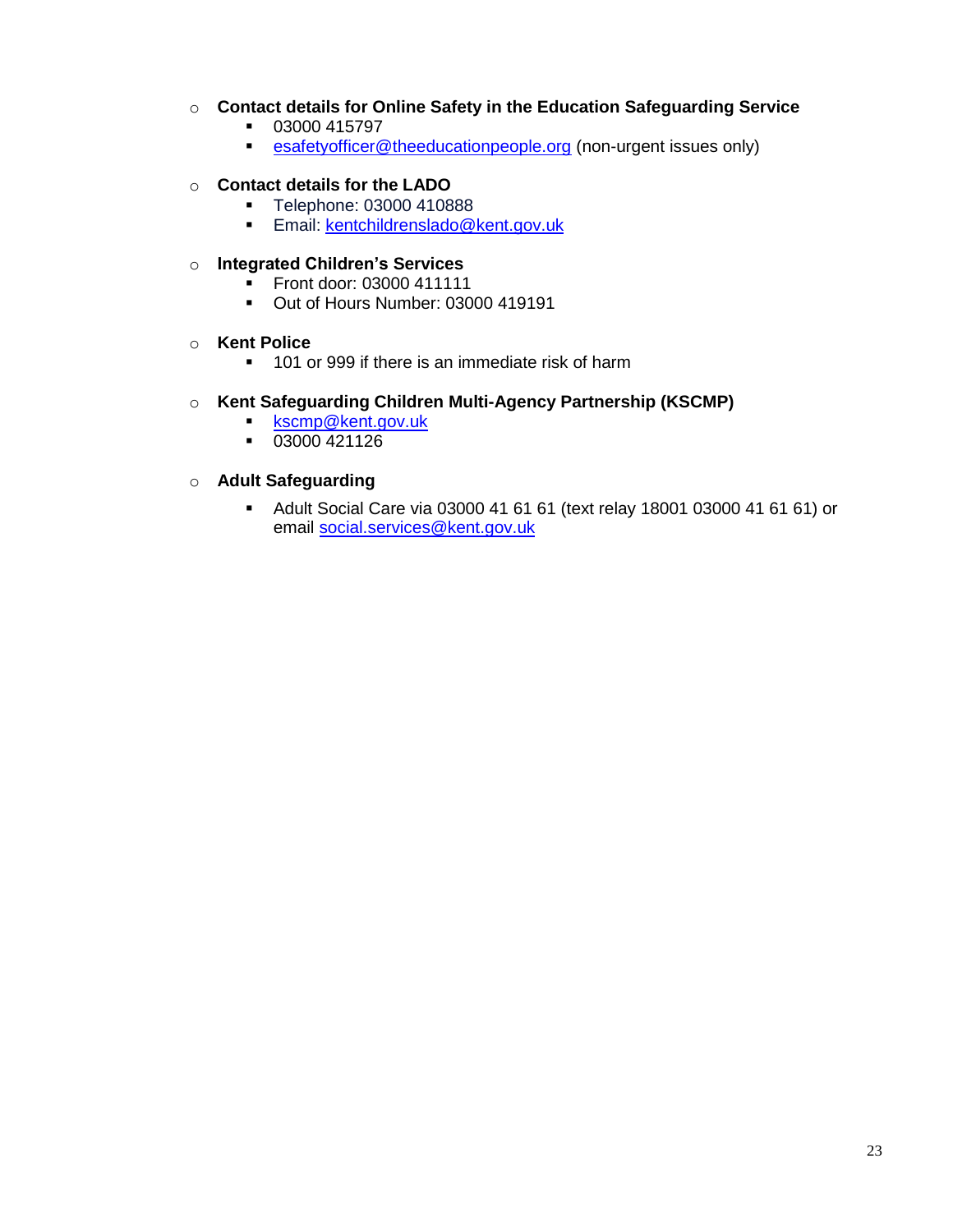### o **Contact details for Online Safety in the Education Safeguarding Service**

- 03000 415797
- [esafetyofficer@theeducationpeople.org](mailto:esafetyofficer@theeducationpeople.org) (non-urgent issues only)

### o **Contact details for the LADO**

- **Telephone: 03000 410888**
- **Email: [kentchildrenslado@kent.gov.uk](mailto:kentchildrenslado@kent.gov.uk)**

### o **Integrated Children's Services**

- Front door: 03000 411111<br>■ Out of Hours Number: 030
- Out of Hours Number: 03000 419191

### o **Kent Police**

<sup>1</sup> 101 or 999 if there is an immediate risk of harm

### o **Kent Safeguarding Children Multi-Agency Partnership (KSCMP)**

- **[kscmp@kent.gov.uk](mailto:kscmp@kent.gov.uk)**
- $-03000421126$

### o **Adult Safeguarding**

 Adult Social Care via 03000 41 61 61 (text relay 18001 03000 41 61 61) or email [social.services@kent.gov.uk](mailto:social.services@kent.gov.uk)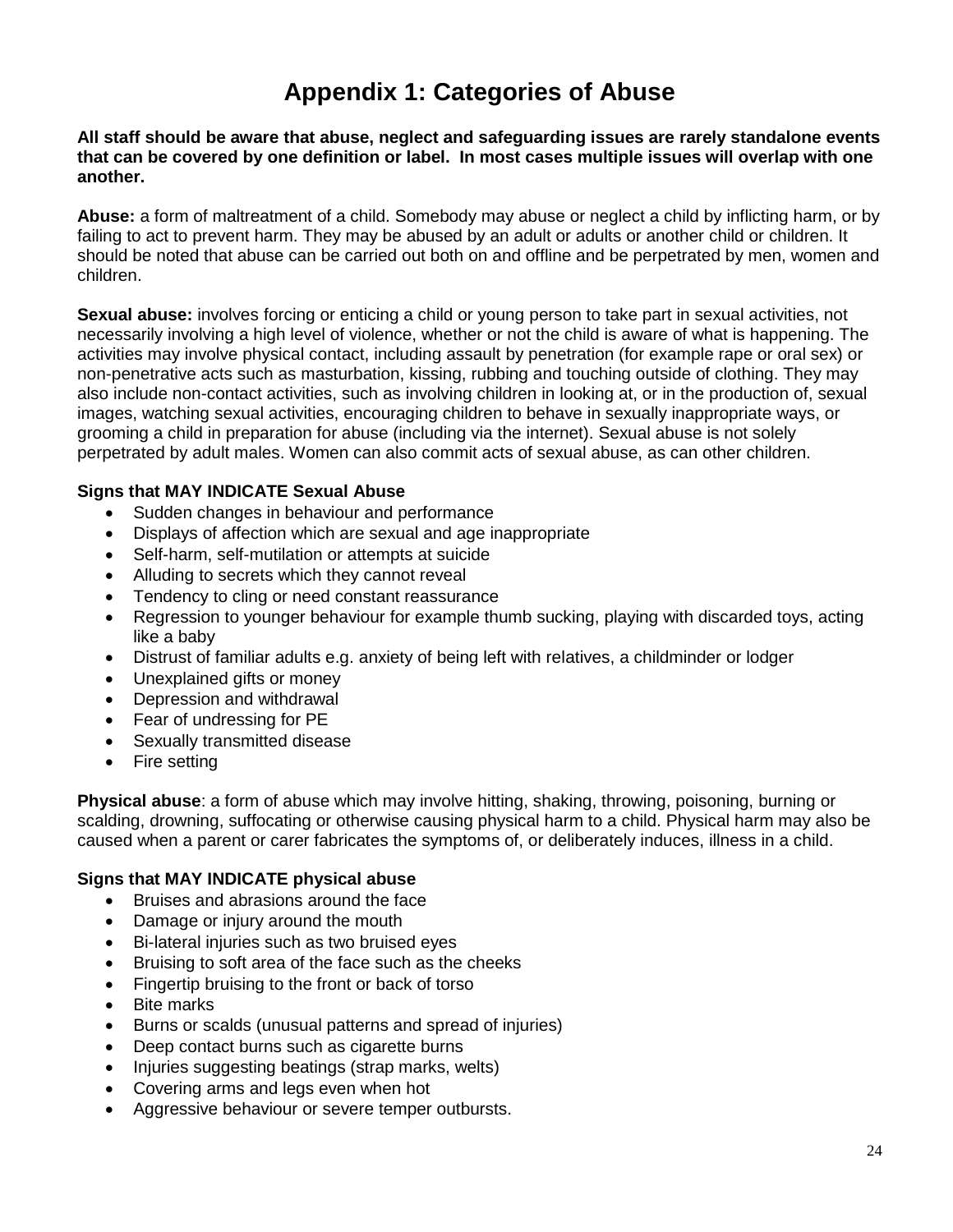# **Appendix 1: Categories of Abuse**

**All staff should be aware that abuse, neglect and safeguarding issues are rarely standalone events that can be covered by one definition or label. In most cases multiple issues will overlap with one another.**

**Abuse:** a form of maltreatment of a child. Somebody may abuse or neglect a child by inflicting harm, or by failing to act to prevent harm. They may be abused by an adult or adults or another child or children. It should be noted that abuse can be carried out both on and offline and be perpetrated by men, women and children.

**Sexual abuse:** involves forcing or enticing a child or young person to take part in sexual activities, not necessarily involving a high level of violence, whether or not the child is aware of what is happening. The activities may involve physical contact, including assault by penetration (for example rape or oral sex) or non-penetrative acts such as masturbation, kissing, rubbing and touching outside of clothing. They may also include non-contact activities, such as involving children in looking at, or in the production of, sexual images, watching sexual activities, encouraging children to behave in sexually inappropriate ways, or grooming a child in preparation for abuse (including via the internet). Sexual abuse is not solely perpetrated by adult males. Women can also commit acts of sexual abuse, as can other children.

### **Signs that MAY INDICATE Sexual Abuse**

- Sudden changes in behaviour and performance
- Displays of affection which are sexual and age inappropriate
- Self-harm, self-mutilation or attempts at suicide
- Alluding to secrets which they cannot reveal
- Tendency to cling or need constant reassurance
- Regression to younger behaviour for example thumb sucking, playing with discarded toys, acting like a baby
- Distrust of familiar adults e.g. anxiety of being left with relatives, a childminder or lodger
- Unexplained gifts or money
- Depression and withdrawal
- Fear of undressing for PE
- Sexually transmitted disease
- Fire setting

**Physical abuse**: a form of abuse which may involve hitting, shaking, throwing, poisoning, burning or scalding, drowning, suffocating or otherwise causing physical harm to a child. Physical harm may also be caused when a parent or carer fabricates the symptoms of, or deliberately induces, illness in a child.

## **Signs that MAY INDICATE physical abuse**

- Bruises and abrasions around the face
- Damage or injury around the mouth
- Bi-lateral injuries such as two bruised eyes
- Bruising to soft area of the face such as the cheeks
- Fingertip bruising to the front or back of torso
- Bite marks
- Burns or scalds (unusual patterns and spread of injuries)
- Deep contact burns such as cigarette burns
- Injuries suggesting beatings (strap marks, welts)
- Covering arms and legs even when hot
- Aggressive behaviour or severe temper outbursts.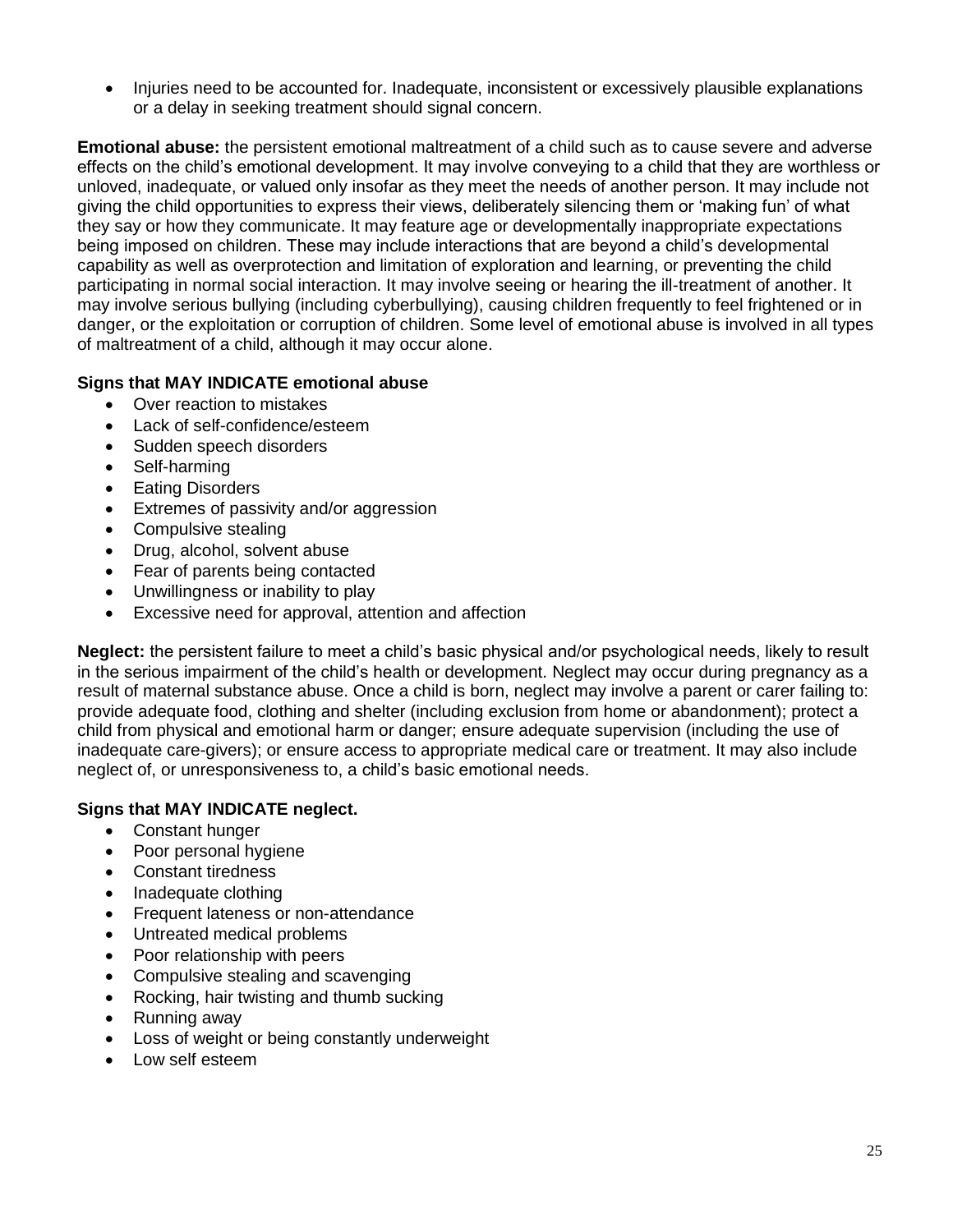• Injuries need to be accounted for. Inadequate, inconsistent or excessively plausible explanations or a delay in seeking treatment should signal concern.

**Emotional abuse:** the persistent emotional maltreatment of a child such as to cause severe and adverse effects on the child's emotional development. It may involve conveying to a child that they are worthless or unloved, inadequate, or valued only insofar as they meet the needs of another person. It may include not giving the child opportunities to express their views, deliberately silencing them or 'making fun' of what they say or how they communicate. It may feature age or developmentally inappropriate expectations being imposed on children. These may include interactions that are beyond a child's developmental capability as well as overprotection and limitation of exploration and learning, or preventing the child participating in normal social interaction. It may involve seeing or hearing the ill-treatment of another. It may involve serious bullying (including cyberbullying), causing children frequently to feel frightened or in danger, or the exploitation or corruption of children. Some level of emotional abuse is involved in all types of maltreatment of a child, although it may occur alone.

## **Signs that MAY INDICATE emotional abuse**

- Over reaction to mistakes
- Lack of self-confidence/esteem
- Sudden speech disorders
- Self-harming
- Eating Disorders
- Extremes of passivity and/or aggression
- Compulsive stealing
- Drug, alcohol, solvent abuse
- Fear of parents being contacted
- Unwillingness or inability to play
- Excessive need for approval, attention and affection

**Neglect:** the persistent failure to meet a child's basic physical and/or psychological needs, likely to result in the serious impairment of the child's health or development. Neglect may occur during pregnancy as a result of maternal substance abuse. Once a child is born, neglect may involve a parent or carer failing to: provide adequate food, clothing and shelter (including exclusion from home or abandonment); protect a child from physical and emotional harm or danger; ensure adequate supervision (including the use of inadequate care-givers); or ensure access to appropriate medical care or treatment. It may also include neglect of, or unresponsiveness to, a child's basic emotional needs.

## **Signs that MAY INDICATE neglect.**

- Constant hunger
- Poor personal hygiene
- Constant tiredness
- Inadequate clothing
- Frequent lateness or non-attendance
- Untreated medical problems
- Poor relationship with peers
- Compulsive stealing and scavenging
- Rocking, hair twisting and thumb sucking
- Running away
- Loss of weight or being constantly underweight
- Low self esteem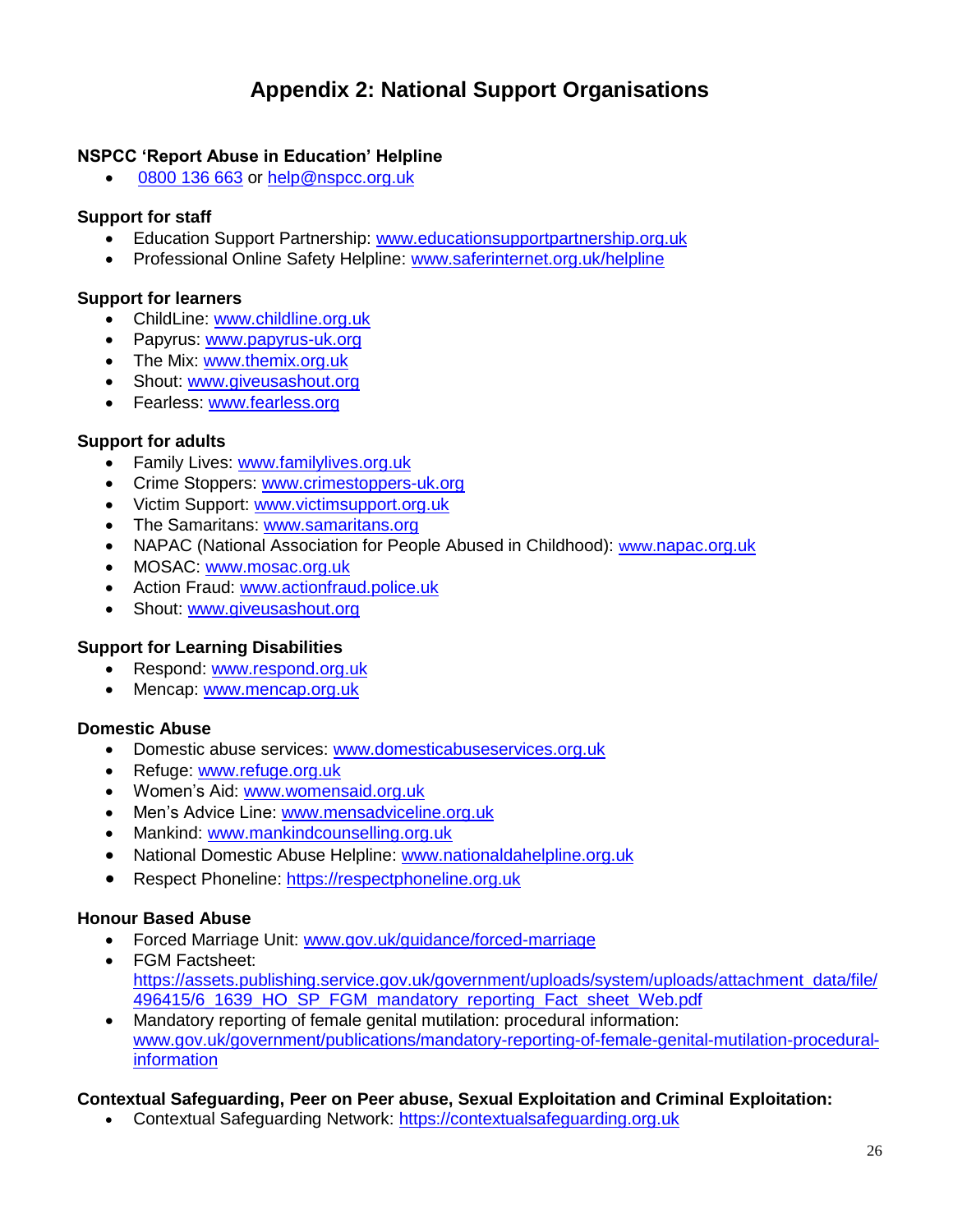# **Appendix 2: National Support Organisations**

### **NSPCC 'Report Abuse in Education' Helpline**

[0800 136 663](tel:0800%20136%20663) or [help@nspcc.org.uk](mailto:help@nspcc.org.uk)

### **Support for staff**

- Education Support Partnership: [www.educationsupportpartnership.org.uk](http://www.educationsupportpartnership.org.uk/)
- Professional Online Safety Helpline: [www.saferinternet.org.uk/helpline](http://www.saferinternet.org.uk/helpline)

### **Support for learners**

- ChildLine: [www.childline.org.uk](http://www.childline.org.uk/)
- Papyrus: [www.papyrus-uk.org](http://www.papyrus-uk.org/)
- The Mix: [www.themix.org.uk](http://www.themix.org.uk/)
- Shout: [www.giveusashout.org](http://www.giveusashout.org/)
- Fearless: [www.fearless.org](http://www.fearless.org/)

### **Support for adults**

- Family Lives: [www.familylives.org.uk](http://www.familylives.org.uk/)
- Crime Stoppers: [www.crimestoppers-uk.org](http://www.crimestoppers-uk.org/)
- Victim Support: [www.victimsupport.org.uk](http://www.victimsupport.org.uk/)
- The Samaritans: [www.samaritans.org](http://www.samaritans.org/)
- NAPAC (National Association for People Abused in Childhood): www.[napac.org.uk](https://napac.org.uk/)
- MOSAC: [www.mosac.org.uk](http://www.mosac.org.uk/)
- Action Fraud: [www.actionfraud.police.uk](http://www.actionfraud.police.uk/)
- Shout: [www.giveusashout.org](http://www.giveusashout.org/)

### **Support for Learning Disabilities**

- Respond: [www.respond.org.uk](http://www.respond.org.uk/)
- Mencap: [www.mencap.org.uk](http://www.mencap.org.uk/)

## **Domestic Abuse**

- Domestic abuse services: [www.domesticabuseservices.org.uk](http://www.domesticabuseservices.org.uk/)
- Refuge: [www.refuge.org.uk](http://www.refuge.org.uk/)
- Women's Aid: [www.womensaid.org.uk](http://www.womensaid.org.uk/)
- Men's Advice Line: [www.mensadviceline.org.uk](http://www.mensadviceline.org.uk/)
- Mankind: [www.mankindcounselling.org.uk](http://www.mankindcounselling.org.uk/)
- National Domestic Abuse Helpline: [www.nationaldahelpline.org.uk](http://www.nationaldahelpline.org.uk/)
- **•** Respect Phoneline: [https://respectphoneline.org.uk](https://respectphoneline.org.uk/)

## **Honour Based Abuse**

- Forced Marriage Unit: [www.gov.uk/guidance/forced-marriage](http://www.gov.uk/guidance/forced-marriage)
- FGM Factsheet: [https://assets.publishing.service.gov.uk/government/uploads/system/uploads/attachment\\_data/file/](https://assets.publishing.service.gov.uk/government/uploads/system/uploads/attachment_data/file/496415/6_1639_HO_SP_FGM_mandatory_reporting_Fact_sheet_Web.pdf) [496415/6\\_1639\\_HO\\_SP\\_FGM\\_mandatory\\_reporting\\_Fact\\_sheet\\_Web.pdf](https://assets.publishing.service.gov.uk/government/uploads/system/uploads/attachment_data/file/496415/6_1639_HO_SP_FGM_mandatory_reporting_Fact_sheet_Web.pdf)
- Mandatory reporting of female genital mutilation: procedural information: [www.gov.uk/government/publications/mandatory-reporting-of-female-genital-mutilation-procedural](http://www.gov.uk/government/publications/mandatory-reporting-of-female-genital-mutilation-procedural-information)[information](http://www.gov.uk/government/publications/mandatory-reporting-of-female-genital-mutilation-procedural-information)

## **Contextual Safeguarding, Peer on Peer abuse, Sexual Exploitation and Criminal Exploitation:**

• Contextual Safeguarding Network: [https://contextualsafeguarding.org.uk](https://contextualsafeguarding.org.uk/)